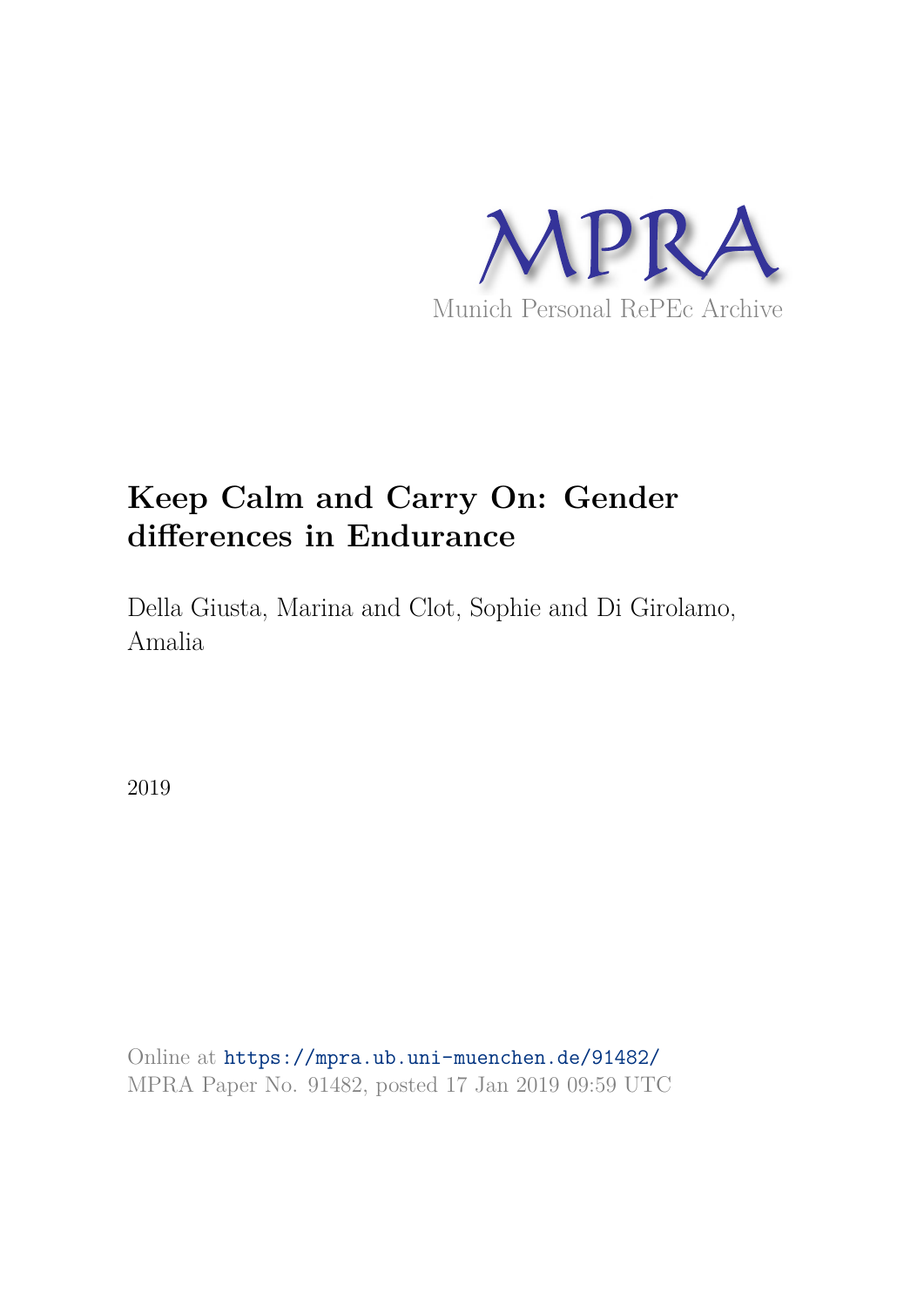

# **Keep Calm and Carry On: Gender differences in Endurance**

Della Giusta, Marina and Clot, Sophie and Di Girolamo, Amalia

2019

Online at https://mpra.ub.uni-muenchen.de/91482/ MPRA Paper No. 91482, posted 17 Jan 2019 09:59 UTC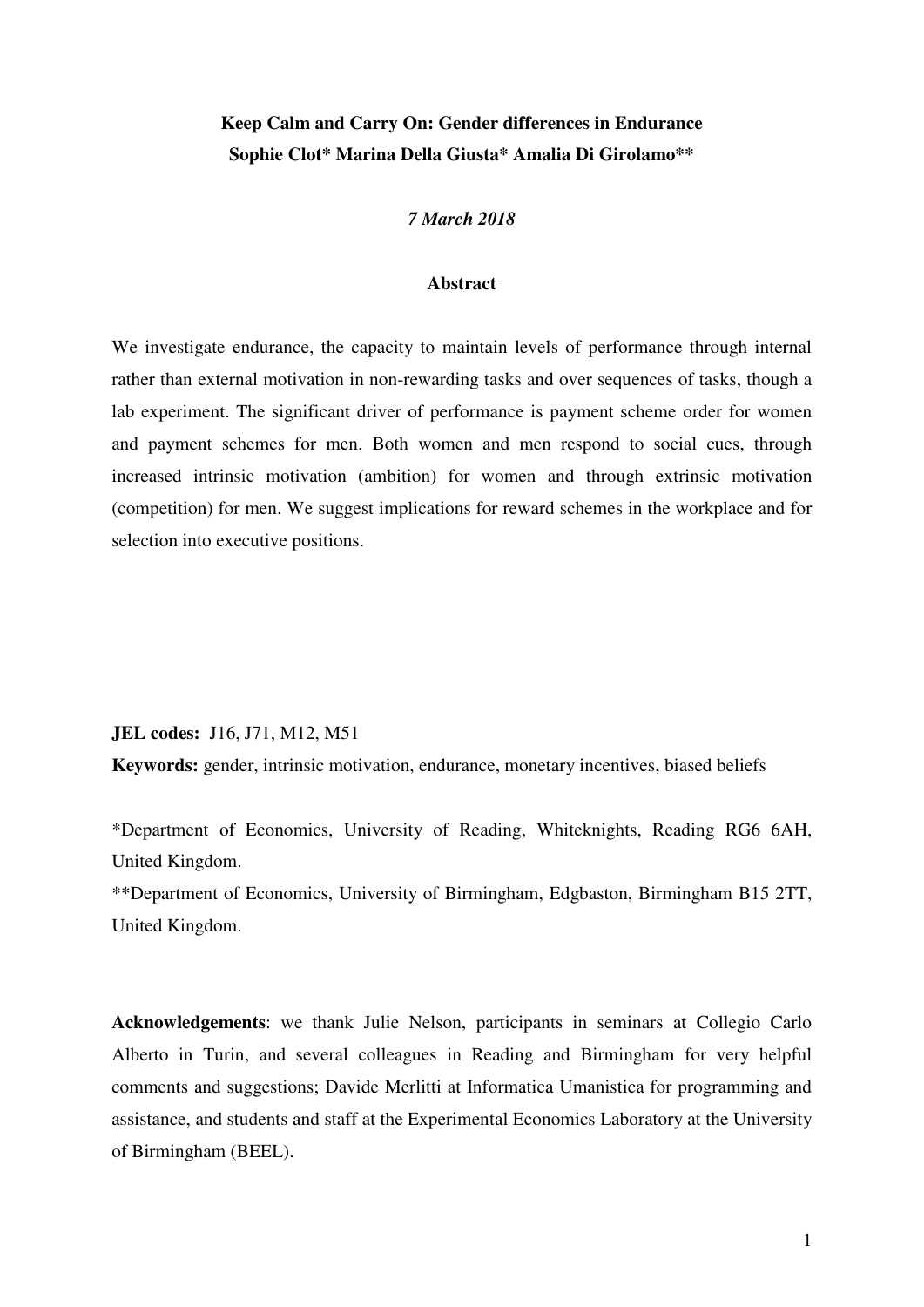# **Keep Calm and Carry On: Gender differences in Endurance Sophie Clot\* Marina Della Giusta\* Amalia Di Girolamo\*\***

## *7 March 2018*

#### **Abstract**

We investigate endurance, the capacity to maintain levels of performance through internal rather than external motivation in non-rewarding tasks and over sequences of tasks, though a lab experiment. The significant driver of performance is payment scheme order for women and payment schemes for men. Both women and men respond to social cues, through increased intrinsic motivation (ambition) for women and through extrinsic motivation (competition) for men. We suggest implications for reward schemes in the workplace and for selection into executive positions.

**JEL codes:** J16, J71, M12, M51

**Keywords:** gender, intrinsic motivation, endurance, monetary incentives, biased beliefs

\*Department of Economics, University of Reading, Whiteknights, Reading RG6 6AH, United Kingdom.

\*\*Department of Economics, University of Birmingham, Edgbaston, Birmingham B15 2TT, United Kingdom.

**Acknowledgements**: we thank Julie Nelson, participants in seminars at Collegio Carlo Alberto in Turin, and several colleagues in Reading and Birmingham for very helpful comments and suggestions; Davide Merlitti at Informatica Umanistica for programming and assistance, and students and staff at the Experimental Economics Laboratory at the University of Birmingham (BEEL).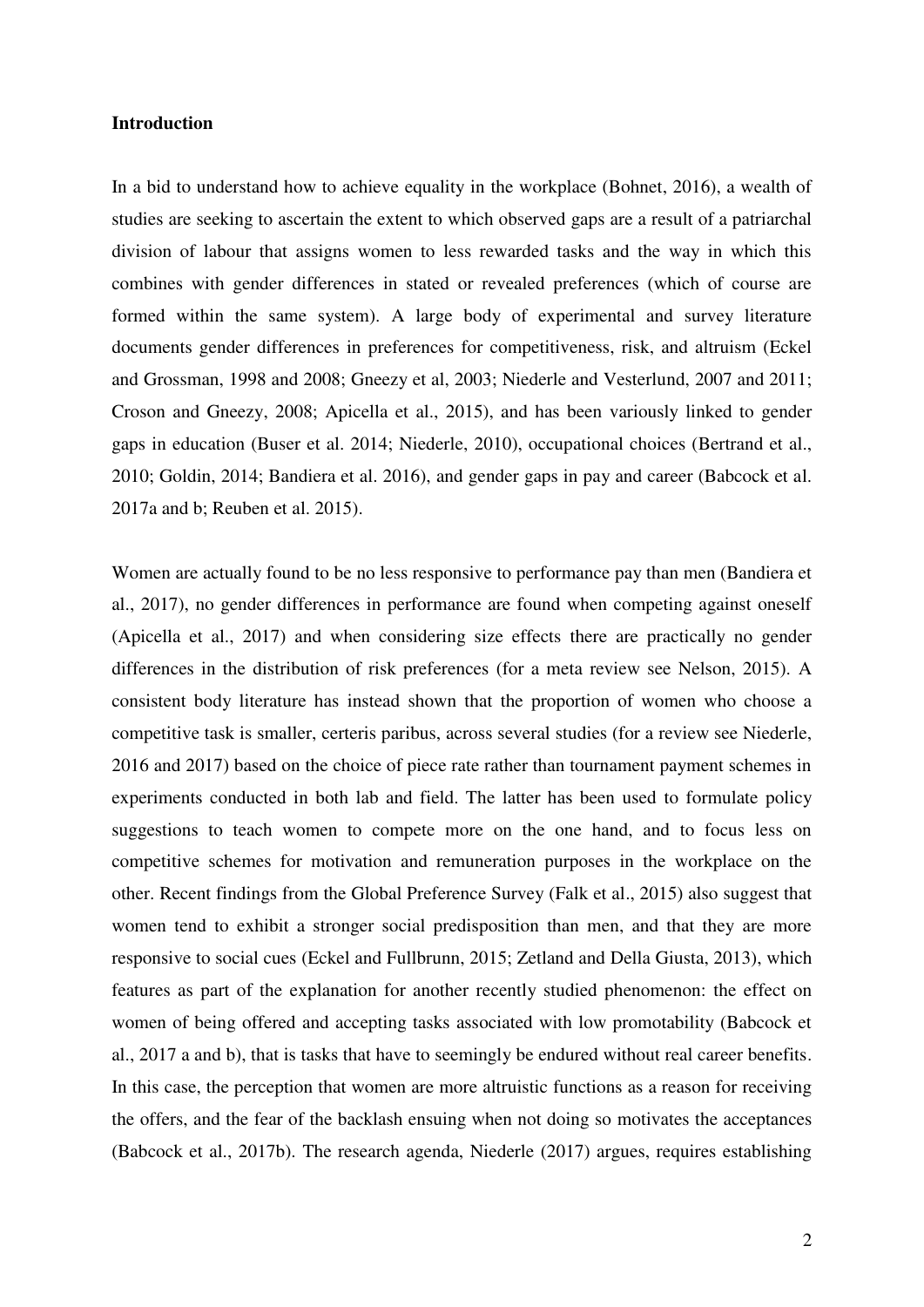#### **Introduction**

In a bid to understand how to achieve equality in the workplace (Bohnet, 2016), a wealth of studies are seeking to ascertain the extent to which observed gaps are a result of a patriarchal division of labour that assigns women to less rewarded tasks and the way in which this combines with gender differences in stated or revealed preferences (which of course are formed within the same system). A large body of experimental and survey literature documents gender differences in preferences for competitiveness, risk, and altruism (Eckel and Grossman, 1998 and 2008; Gneezy et al, 2003; Niederle and Vesterlund, 2007 and 2011; Croson and Gneezy, 2008; Apicella et al., 2015), and has been variously linked to gender gaps in education (Buser et al. 2014; Niederle, 2010), occupational choices (Bertrand et al., 2010; Goldin, 2014; Bandiera et al. 2016), and gender gaps in pay and career (Babcock et al. 2017a and b; Reuben et al. 2015).

Women are actually found to be no less responsive to performance pay than men (Bandiera et al., 2017), no gender differences in performance are found when competing against oneself (Apicella et al., 2017) and when considering size effects there are practically no gender differences in the distribution of risk preferences (for a meta review see Nelson, 2015). A consistent body literature has instead shown that the proportion of women who choose a competitive task is smaller, certeris paribus, across several studies (for a review see Niederle, 2016 and 2017) based on the choice of piece rate rather than tournament payment schemes in experiments conducted in both lab and field. The latter has been used to formulate policy suggestions to teach women to compete more on the one hand, and to focus less on competitive schemes for motivation and remuneration purposes in the workplace on the other. Recent findings from the Global Preference Survey (Falk et al., 2015) also suggest that women tend to exhibit a stronger social predisposition than men, and that they are more responsive to social cues (Eckel and Fullbrunn, 2015; Zetland and Della Giusta, 2013), which features as part of the explanation for another recently studied phenomenon: the effect on women of being offered and accepting tasks associated with low promotability (Babcock et al., 2017 a and b), that is tasks that have to seemingly be endured without real career benefits. In this case, the perception that women are more altruistic functions as a reason for receiving the offers, and the fear of the backlash ensuing when not doing so motivates the acceptances (Babcock et al., 2017b). The research agenda, Niederle (2017) argues, requires establishing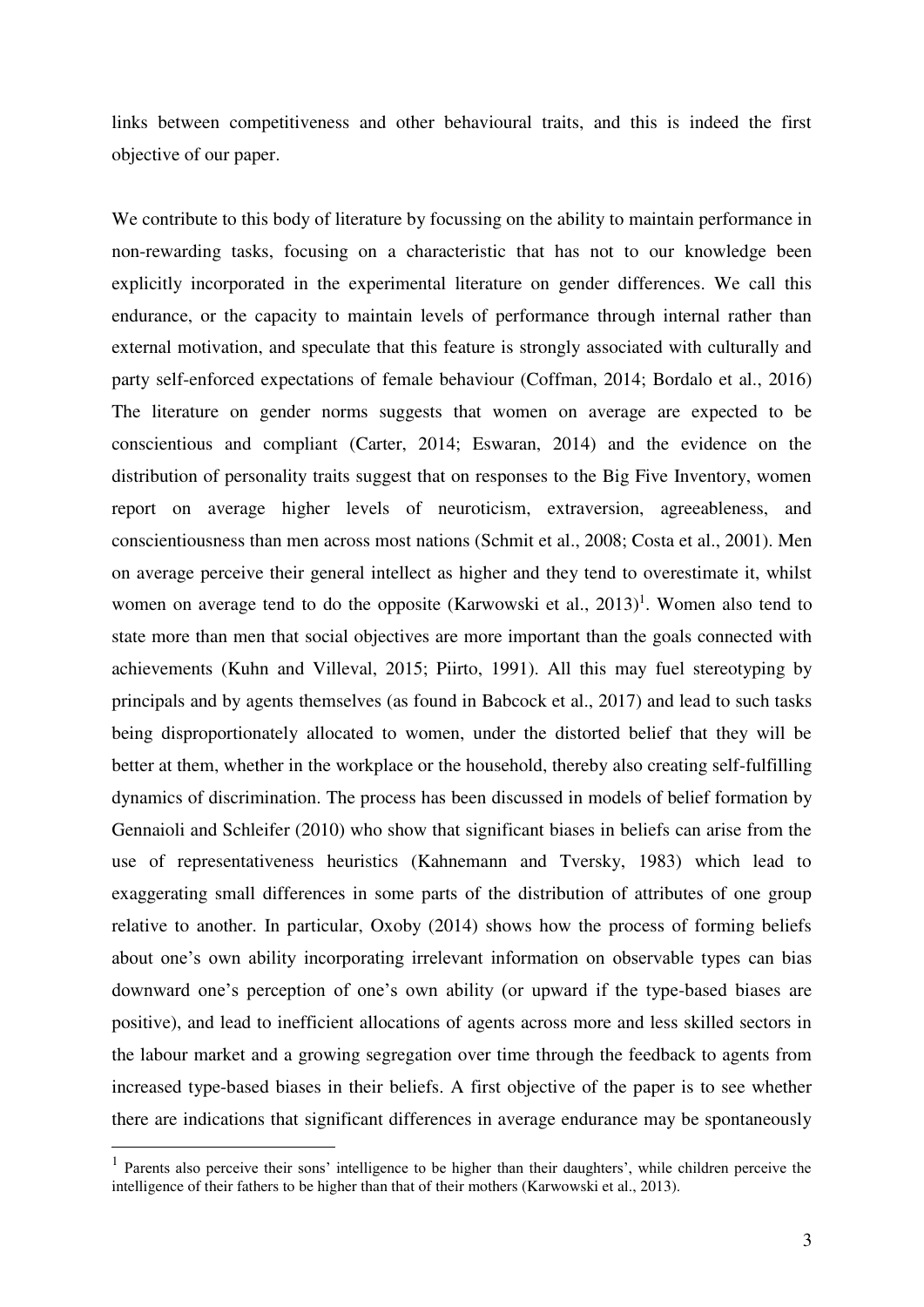links between competitiveness and other behavioural traits, and this is indeed the first objective of our paper.

We contribute to this body of literature by focussing on the ability to maintain performance in non-rewarding tasks, focusing on a characteristic that has not to our knowledge been explicitly incorporated in the experimental literature on gender differences. We call this endurance, or the capacity to maintain levels of performance through internal rather than external motivation, and speculate that this feature is strongly associated with culturally and party self-enforced expectations of female behaviour (Coffman, 2014; Bordalo et al., 2016) The literature on gender norms suggests that women on average are expected to be conscientious and compliant (Carter, 2014; Eswaran, 2014) and the evidence on the distribution of personality traits suggest that on responses to the Big Five Inventory, women report on average higher levels of neuroticism, extraversion, agreeableness, and conscientiousness than men across most nations (Schmit et al., 2008; Costa et al., 2001). Men on average perceive their general intellect as higher and they tend to overestimate it, whilst women on average tend to do the opposite (Karwowski et al.,  $2013$ )<sup>1</sup>. Women also tend to state more than men that social objectives are more important than the goals connected with achievements (Kuhn and Villeval, 2015; Piirto, 1991). All this may fuel stereotyping by principals and by agents themselves (as found in Babcock et al., 2017) and lead to such tasks being disproportionately allocated to women, under the distorted belief that they will be better at them, whether in the workplace or the household, thereby also creating self-fulfilling dynamics of discrimination. The process has been discussed in models of belief formation by Gennaioli and Schleifer (2010) who show that significant biases in beliefs can arise from the use of representativeness heuristics (Kahnemann and Tversky, 1983) which lead to exaggerating small differences in some parts of the distribution of attributes of one group relative to another. In particular, Oxoby (2014) shows how the process of forming beliefs about one's own ability incorporating irrelevant information on observable types can bias downward one's perception of one's own ability (or upward if the type-based biases are positive), and lead to inefficient allocations of agents across more and less skilled sectors in the labour market and a growing segregation over time through the feedback to agents from increased type-based biases in their beliefs. A first objective of the paper is to see whether there are indications that significant differences in average endurance may be spontaneously

-

<sup>&</sup>lt;sup>1</sup> Parents also perceive their sons' intelligence to be higher than their daughters', while children perceive the intelligence of their fathers to be higher than that of their mothers (Karwowski et al., 2013).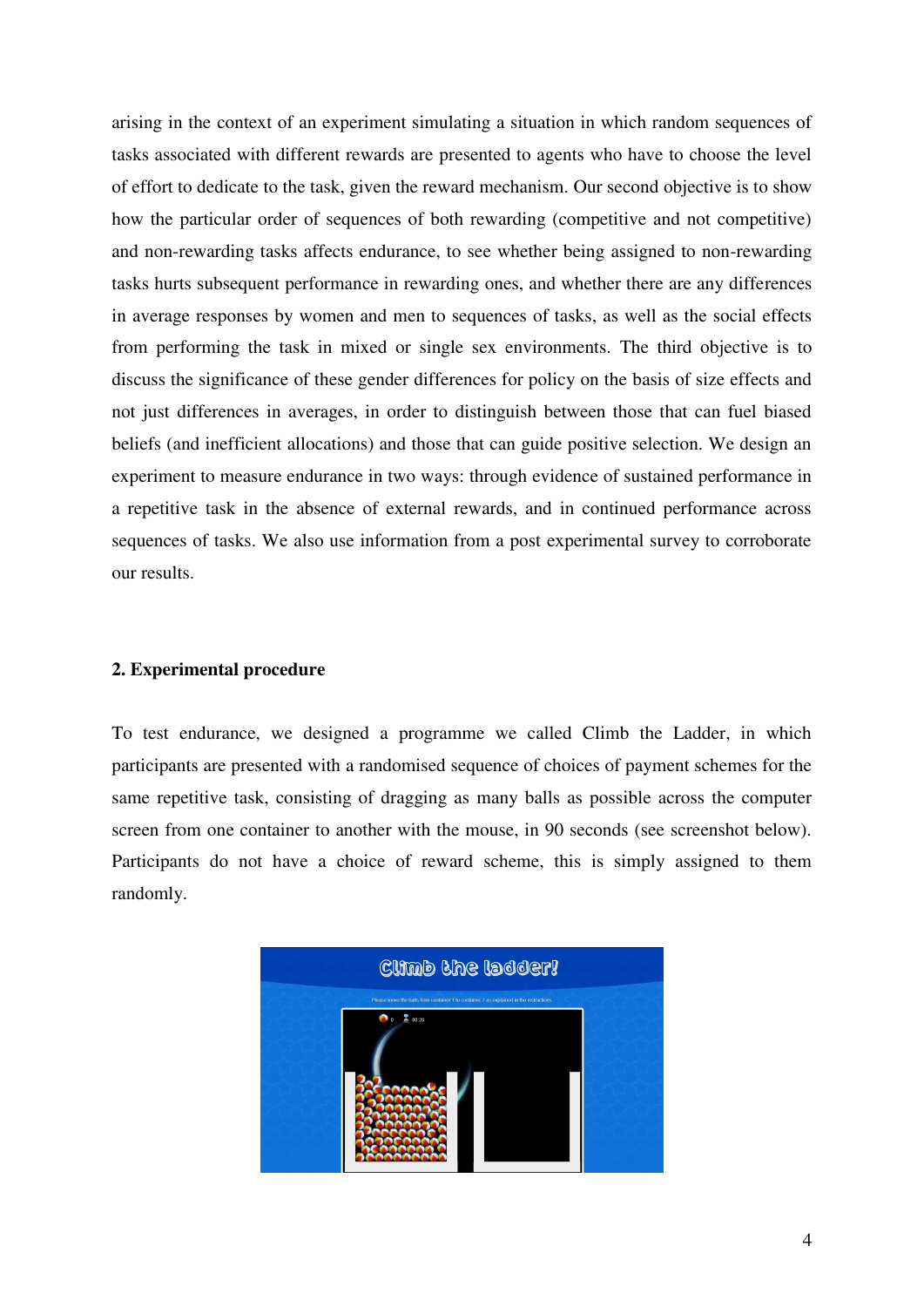arising in the context of an experiment simulating a situation in which random sequences of tasks associated with different rewards are presented to agents who have to choose the level of effort to dedicate to the task, given the reward mechanism. Our second objective is to show how the particular order of sequences of both rewarding (competitive and not competitive) and non-rewarding tasks affects endurance, to see whether being assigned to non-rewarding tasks hurts subsequent performance in rewarding ones, and whether there are any differences in average responses by women and men to sequences of tasks, as well as the social effects from performing the task in mixed or single sex environments. The third objective is to discuss the significance of these gender differences for policy on the basis of size effects and not just differences in averages, in order to distinguish between those that can fuel biased beliefs (and inefficient allocations) and those that can guide positive selection. We design an experiment to measure endurance in two ways: through evidence of sustained performance in a repetitive task in the absence of external rewards, and in continued performance across sequences of tasks. We also use information from a post experimental survey to corroborate our results.

#### **2. Experimental procedure**

To test endurance, we designed a programme we called Climb the Ladder, in which participants are presented with a randomised sequence of choices of payment schemes for the same repetitive task, consisting of dragging as many balls as possible across the computer screen from one container to another with the mouse, in 90 seconds (see screenshot below). Participants do not have a choice of reward scheme, this is simply assigned to them randomly.

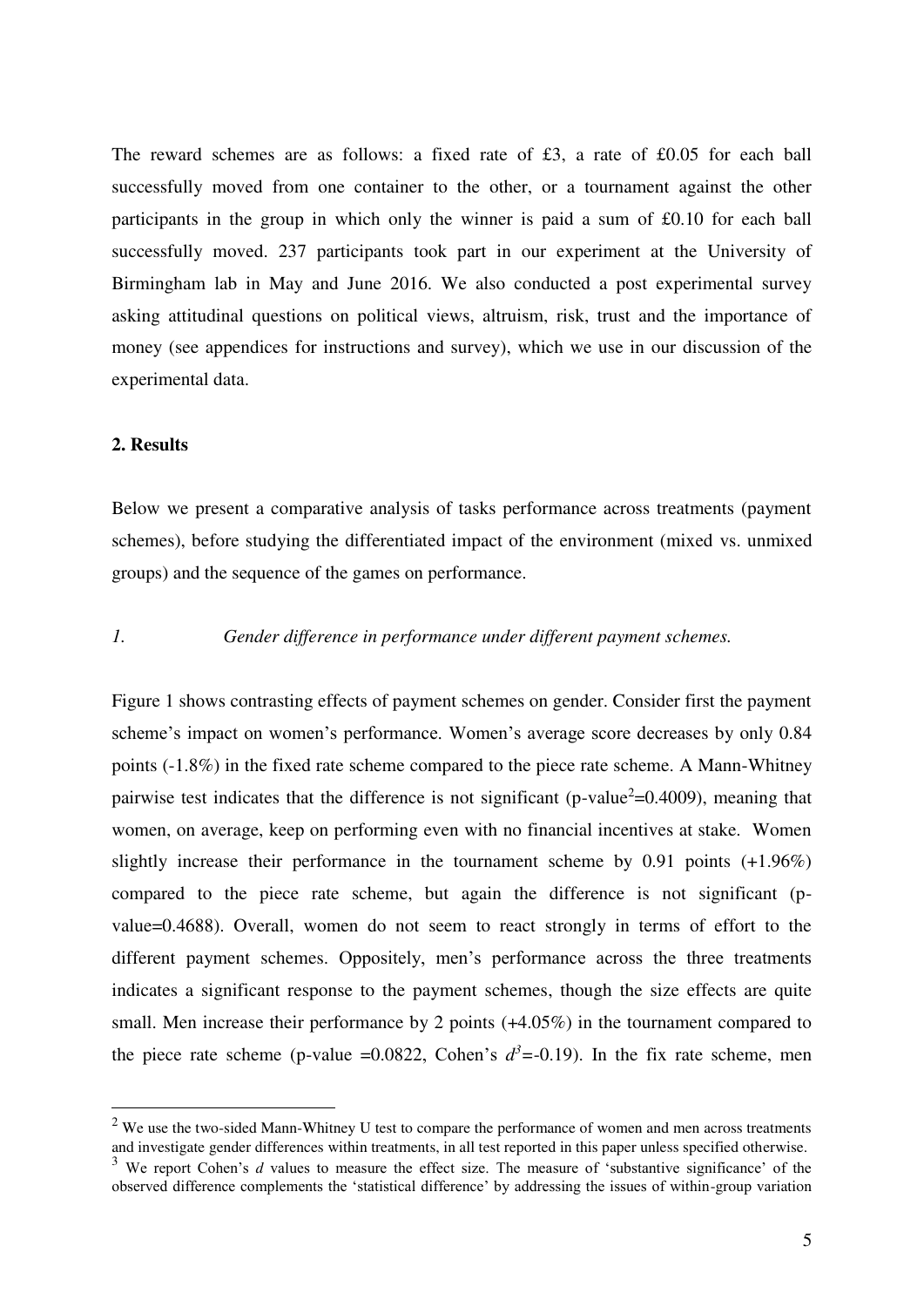The reward schemes are as follows: a fixed rate of £3, a rate of £0.05 for each ball successfully moved from one container to the other, or a tournament against the other participants in the group in which only the winner is paid a sum of £0.10 for each ball successfully moved. 237 participants took part in our experiment at the University of Birmingham lab in May and June 2016. We also conducted a post experimental survey asking attitudinal questions on political views, altruism, risk, trust and the importance of money (see appendices for instructions and survey), which we use in our discussion of the experimental data.

#### **2. Results**

<u>.</u>

Below we present a comparative analysis of tasks performance across treatments (payment schemes), before studying the differentiated impact of the environment (mixed vs. unmixed groups) and the sequence of the games on performance.

## *1. Gender difference in performance under different payment schemes.*

Figure 1 shows contrasting effects of payment schemes on gender. Consider first the payment scheme's impact on women's performance. Women's average score decreases by only 0.84 points (-1.8%) in the fixed rate scheme compared to the piece rate scheme. A Mann-Whitney pairwise test indicates that the difference is not significant (p-value<sup>2</sup>=0.4009), meaning that women, on average, keep on performing even with no financial incentives at stake. Women slightly increase their performance in the tournament scheme by 0.91 points (+1.96%) compared to the piece rate scheme, but again the difference is not significant (pvalue=0.4688). Overall, women do not seem to react strongly in terms of effort to the different payment schemes. Oppositely, men's performance across the three treatments indicates a significant response to the payment schemes, though the size effects are quite small. Men increase their performance by 2 points  $(+4.05\%)$  in the tournament compared to the piece rate scheme (p-value =0.0822, Cohen's  $d^3$  = -0.19). In the fix rate scheme, men

 $2$  We use the two-sided Mann-Whitney U test to compare the performance of women and men across treatments and investigate gender differences within treatments, in all test reported in this paper unless specified otherwise.

<sup>&</sup>lt;sup>3</sup> We report Cohen's *d* values to measure the effect size. The measure of 'substantive significance' of the observed difference complements the 'statistical difference' by addressing the issues of within-group variation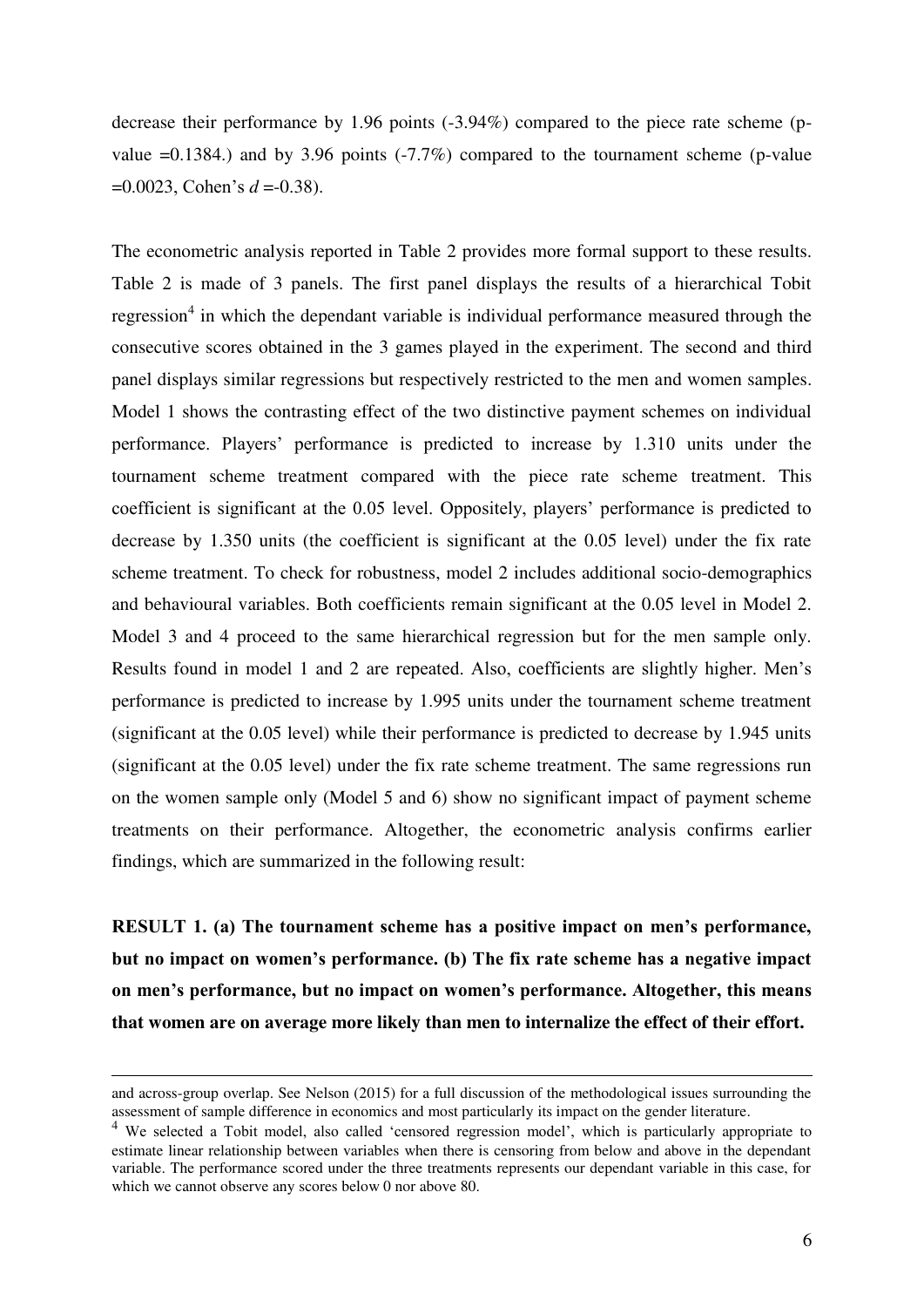decrease their performance by 1.96 points (-3.94%) compared to the piece rate scheme (pvalue  $=0.1384$ .) and by 3.96 points (-7.7%) compared to the tournament scheme (p-value =0.0023, Cohen's *d* =-0.38).

The econometric analysis reported in Table 2 provides more formal support to these results. Table 2 is made of 3 panels. The first panel displays the results of a hierarchical Tobit regression<sup>4</sup> in which the dependant variable is individual performance measured through the consecutive scores obtained in the 3 games played in the experiment. The second and third panel displays similar regressions but respectively restricted to the men and women samples. Model 1 shows the contrasting effect of the two distinctive payment schemes on individual performance. Players' performance is predicted to increase by 1.310 units under the tournament scheme treatment compared with the piece rate scheme treatment. This coefficient is significant at the 0.05 level. Oppositely, players' performance is predicted to decrease by 1.350 units (the coefficient is significant at the 0.05 level) under the fix rate scheme treatment. To check for robustness, model 2 includes additional socio-demographics and behavioural variables. Both coefficients remain significant at the 0.05 level in Model 2. Model 3 and 4 proceed to the same hierarchical regression but for the men sample only. Results found in model 1 and 2 are repeated. Also, coefficients are slightly higher. Men's performance is predicted to increase by 1.995 units under the tournament scheme treatment (significant at the 0.05 level) while their performance is predicted to decrease by 1.945 units (significant at the 0.05 level) under the fix rate scheme treatment. The same regressions run on the women sample only (Model 5 and 6) show no significant impact of payment scheme treatments on their performance. Altogether, the econometric analysis confirms earlier findings, which are summarized in the following result:

**RESULT 1. (a) The tournament scheme has a positive impact on men's performance, but no impact on women's performance. (b) The fix rate scheme has a negative impact on men's performance, but no impact on women's performance. Altogether, this means that women are on average more likely than men to internalize the effect of their effort.** 

<u>.</u>

and across-group overlap. See Nelson (2015) for a full discussion of the methodological issues surrounding the assessment of sample difference in economics and most particularly its impact on the gender literature.

<sup>&</sup>lt;sup>4</sup> We selected a Tobit model, also called 'censored regression model', which is particularly appropriate to estimate linear relationship between variables when there is censoring from below and above in the dependant variable. The performance scored under the three treatments represents our dependant variable in this case, for which we cannot observe any scores below 0 nor above 80.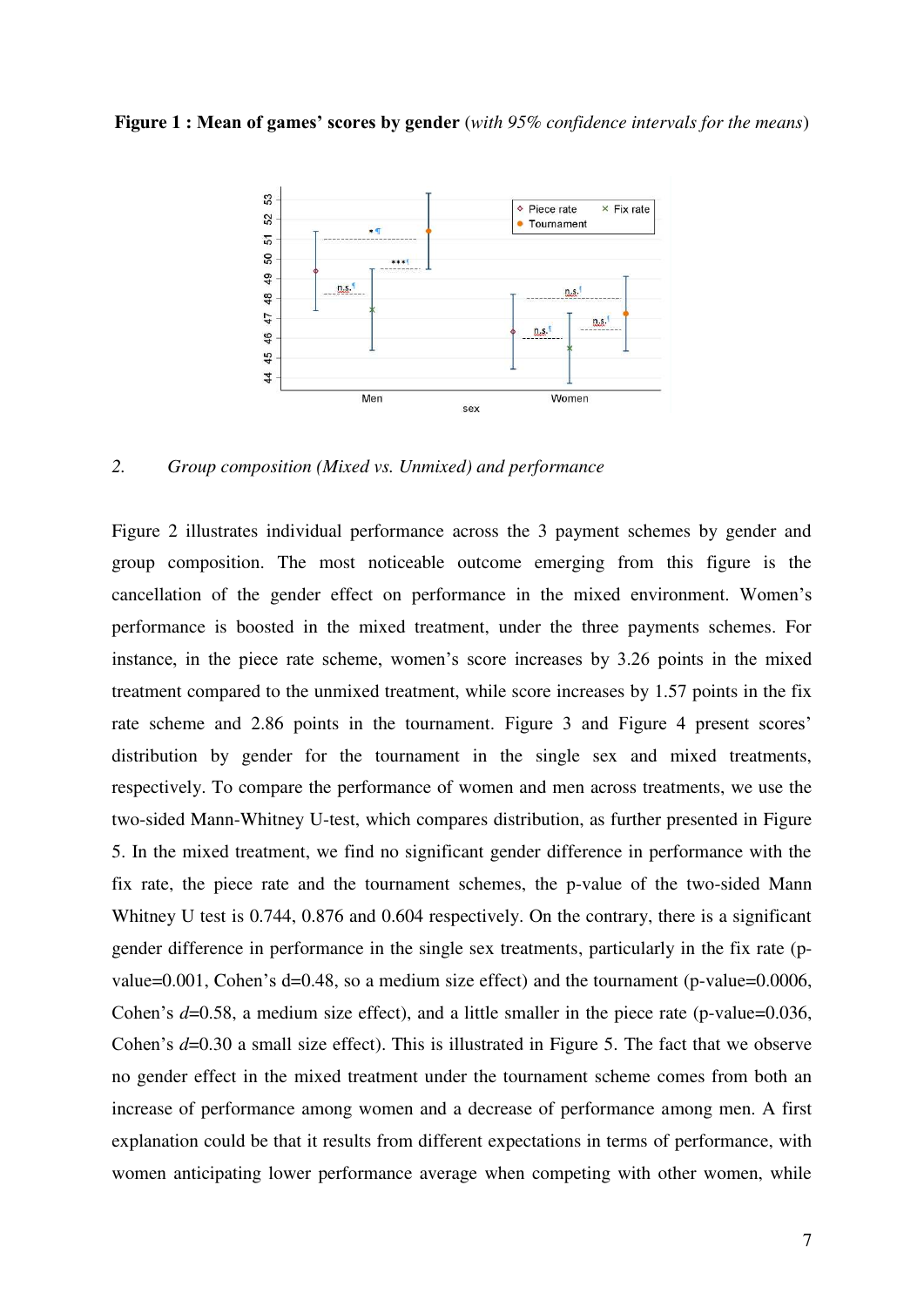#### **Figure 1 : Mean of games' scores by gender** (*with 95% confidence intervals for the means*)



*2. Group composition (Mixed vs. Unmixed) and performance* 

Figure 2 illustrates individual performance across the 3 payment schemes by gender and group composition. The most noticeable outcome emerging from this figure is the cancellation of the gender effect on performance in the mixed environment. Women's performance is boosted in the mixed treatment, under the three payments schemes. For instance, in the piece rate scheme, women's score increases by 3.26 points in the mixed treatment compared to the unmixed treatment, while score increases by 1.57 points in the fix rate scheme and 2.86 points in the tournament. Figure 3 and Figure 4 present scores' distribution by gender for the tournament in the single sex and mixed treatments, respectively. To compare the performance of women and men across treatments, we use the two-sided Mann-Whitney U-test, which compares distribution, as further presented in Figure 5. In the mixed treatment, we find no significant gender difference in performance with the fix rate, the piece rate and the tournament schemes, the p-value of the two-sided Mann Whitney U test is 0.744, 0.876 and 0.604 respectively. On the contrary, there is a significant gender difference in performance in the single sex treatments, particularly in the fix rate (pvalue=0.001, Cohen's d=0.48, so a medium size effect) and the tournament (p-value=0.0006, Cohen's *d*=0.58, a medium size effect), and a little smaller in the piece rate (p-value=0.036, Cohen's *d*=0.30 a small size effect). This is illustrated in Figure 5. The fact that we observe no gender effect in the mixed treatment under the tournament scheme comes from both an increase of performance among women and a decrease of performance among men. A first explanation could be that it results from different expectations in terms of performance, with women anticipating lower performance average when competing with other women, while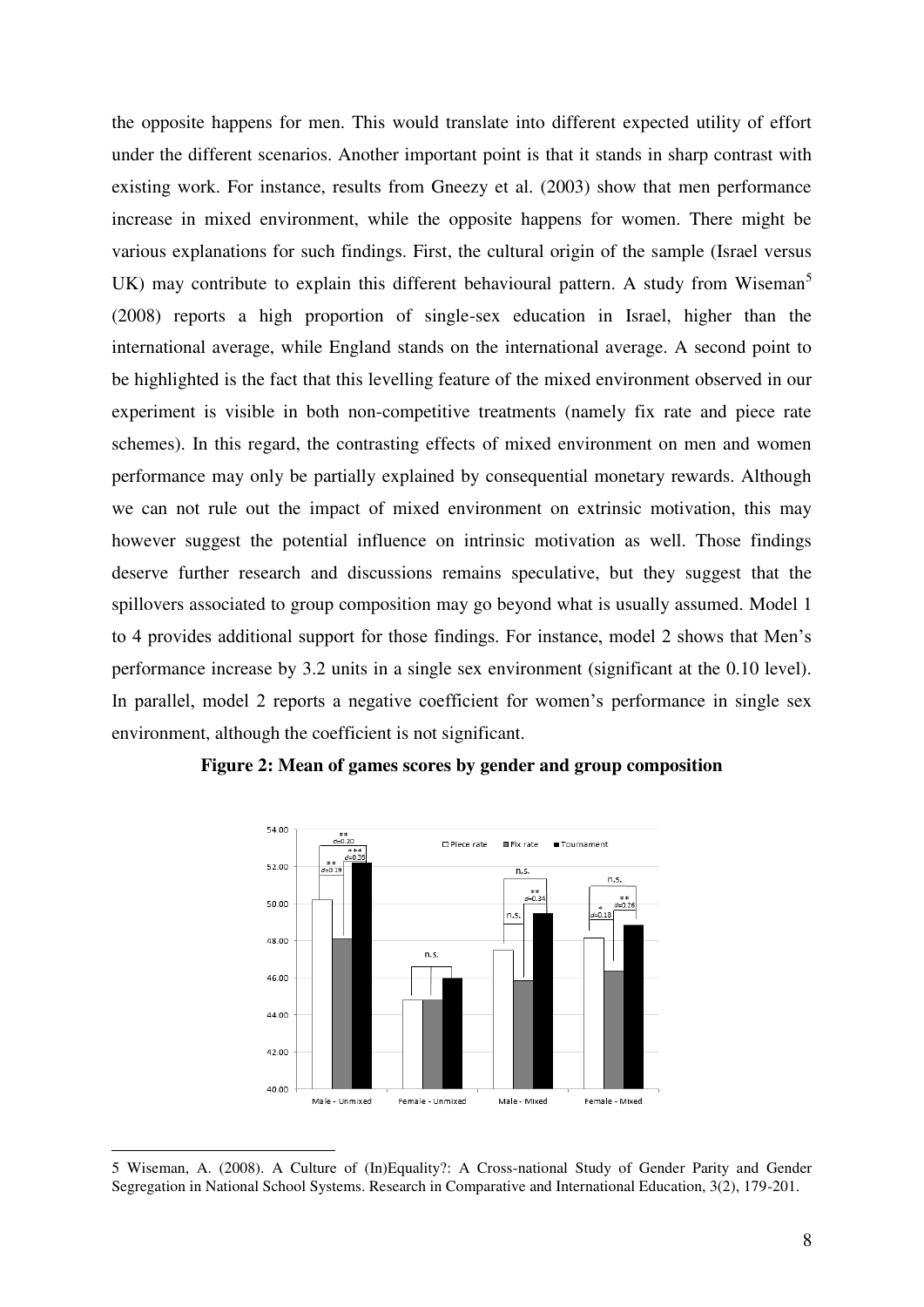the opposite happens for men. This would translate into different expected utility of effort under the different scenarios. Another important point is that it stands in sharp contrast with existing work. For instance, results from Gneezy et al. (2003) show that men performance increase in mixed environment, while the opposite happens for women. There might be various explanations for such findings. First, the cultural origin of the sample (Israel versus UK) may contribute to explain this different behavioural pattern. A study from Wiseman<sup>5</sup> (2008) reports a high proportion of single-sex education in Israel, higher than the international average, while England stands on the international average. A second point to be highlighted is the fact that this levelling feature of the mixed environment observed in our experiment is visible in both non-competitive treatments (namely fix rate and piece rate schemes). In this regard, the contrasting effects of mixed environment on men and women performance may only be partially explained by consequential monetary rewards. Although we can not rule out the impact of mixed environment on extrinsic motivation, this may however suggest the potential influence on intrinsic motivation as well. Those findings deserve further research and discussions remains speculative, but they suggest that the spillovers associated to group composition may go beyond what is usually assumed. Model 1 to 4 provides additional support for those findings. For instance, model 2 shows that Men's performance increase by 3.2 units in a single sex environment (significant at the 0.10 level). In parallel, model 2 reports a negative coefficient for women's performance in single sex environment, although the coefficient is not significant.



**Figure 2: Mean of games scores by gender and group composition** 

-

<sup>5</sup> Wiseman, A. (2008). A Culture of (In)Equality?: A Cross-national Study of Gender Parity and Gender Segregation in National School Systems. Research in Comparative and International Education, 3(2), 179-201.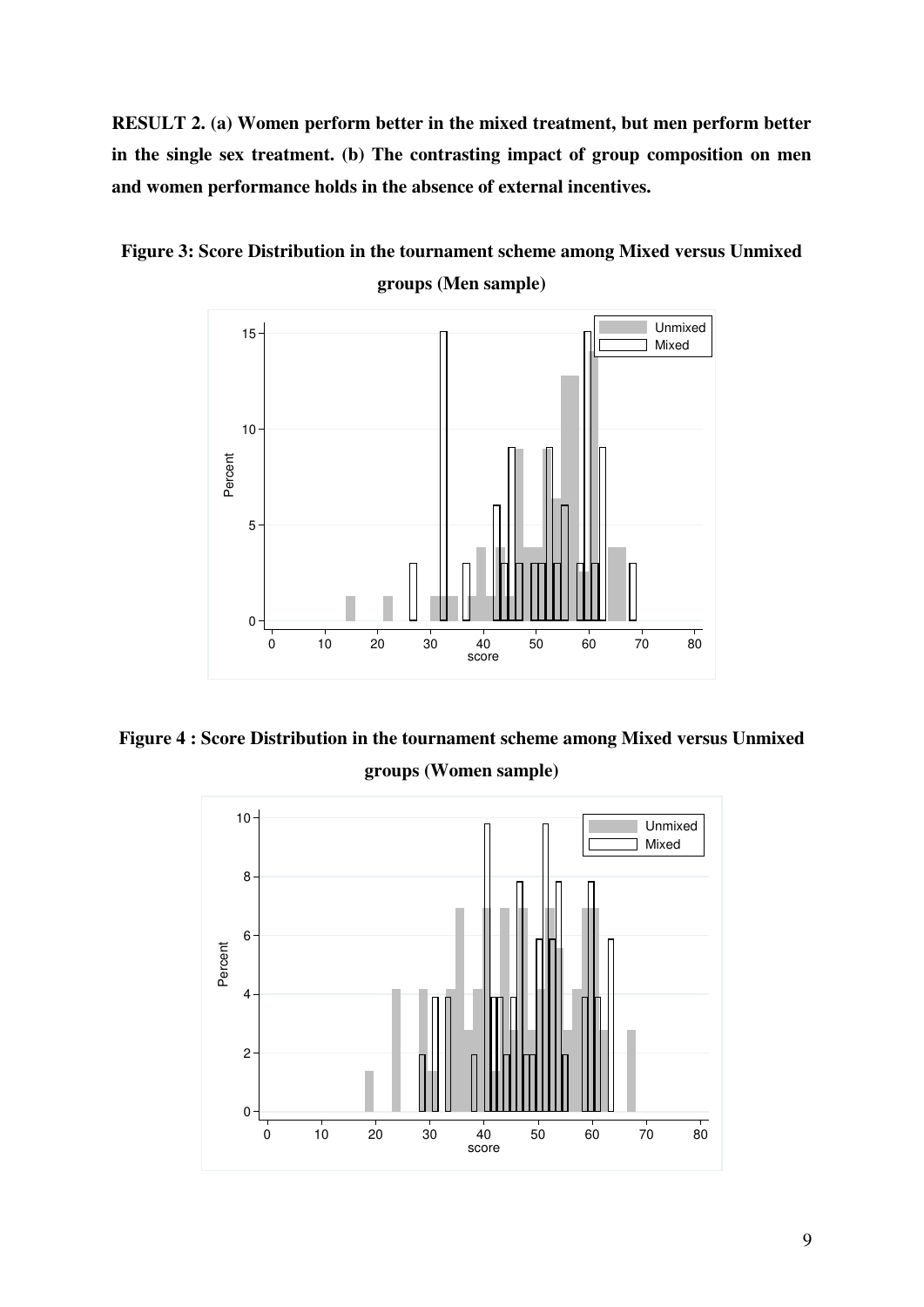**RESULT 2. (a) Women perform better in the mixed treatment, but men perform better in the single sex treatment. (b) The contrasting impact of group composition on men and women performance holds in the absence of external incentives.** 





**Figure 4 : Score Distribution in the tournament scheme among Mixed versus Unmixed groups (Women sample)**

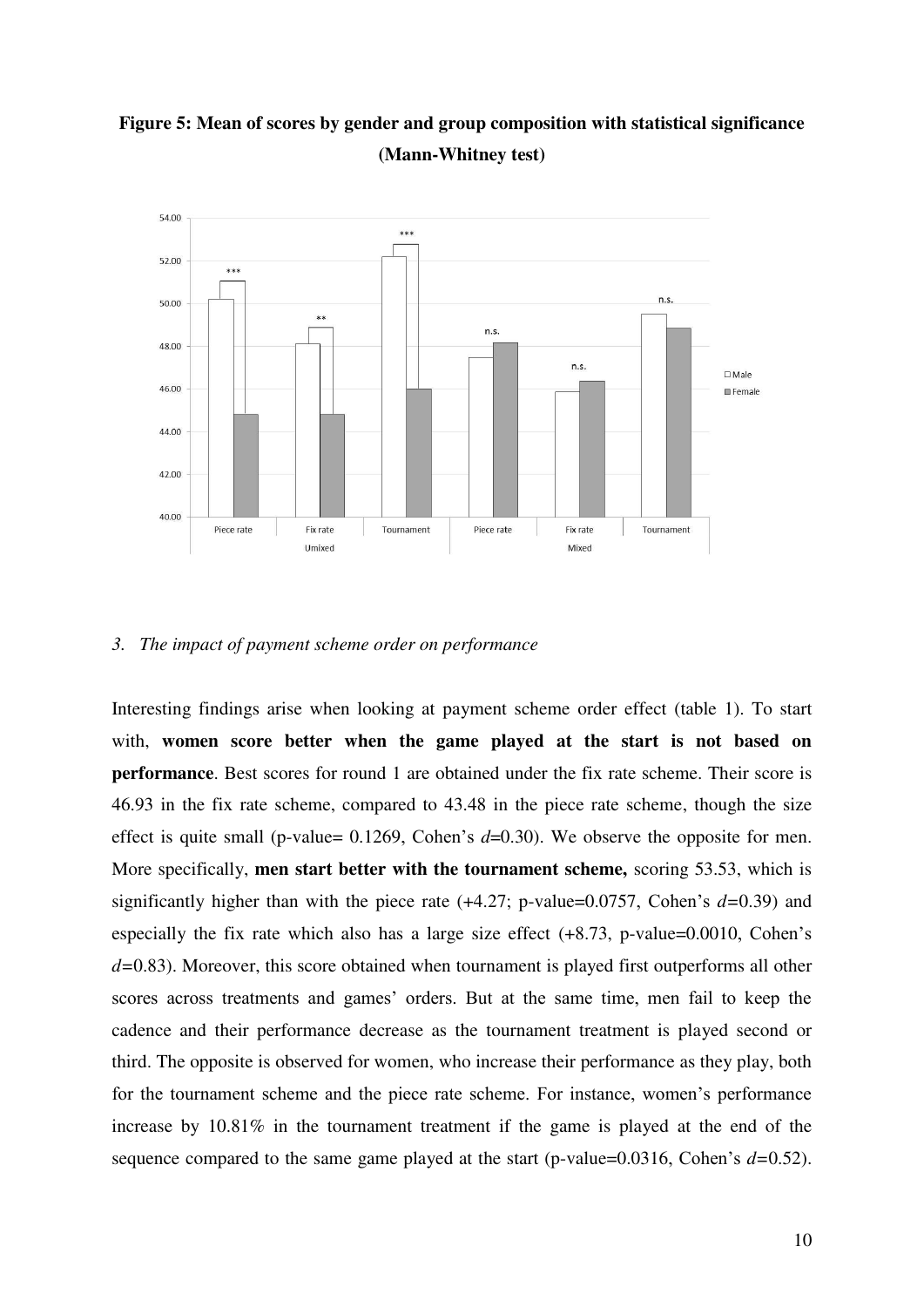



#### *3. The impact of payment scheme order on performance*

Interesting findings arise when looking at payment scheme order effect (table 1). To start with, **women score better when the game played at the start is not based on performance**. Best scores for round 1 are obtained under the fix rate scheme. Their score is 46.93 in the fix rate scheme, compared to 43.48 in the piece rate scheme, though the size effect is quite small (p-value= 0.1269, Cohen's *d*=0.30). We observe the opposite for men. More specifically, **men start better with the tournament scheme,** scoring 53.53, which is significantly higher than with the piece rate (+4.27; p-value=0.0757, Cohen's *d=*0.39) and especially the fix rate which also has a large size effect (+8.73, p-value=0.0010, Cohen's *d=*0.83). Moreover, this score obtained when tournament is played first outperforms all other scores across treatments and games' orders. But at the same time, men fail to keep the cadence and their performance decrease as the tournament treatment is played second or third. The opposite is observed for women, who increase their performance as they play, both for the tournament scheme and the piece rate scheme. For instance, women's performance increase by 10.81% in the tournament treatment if the game is played at the end of the sequence compared to the same game played at the start (p-value=0.0316, Cohen's *d=*0.52).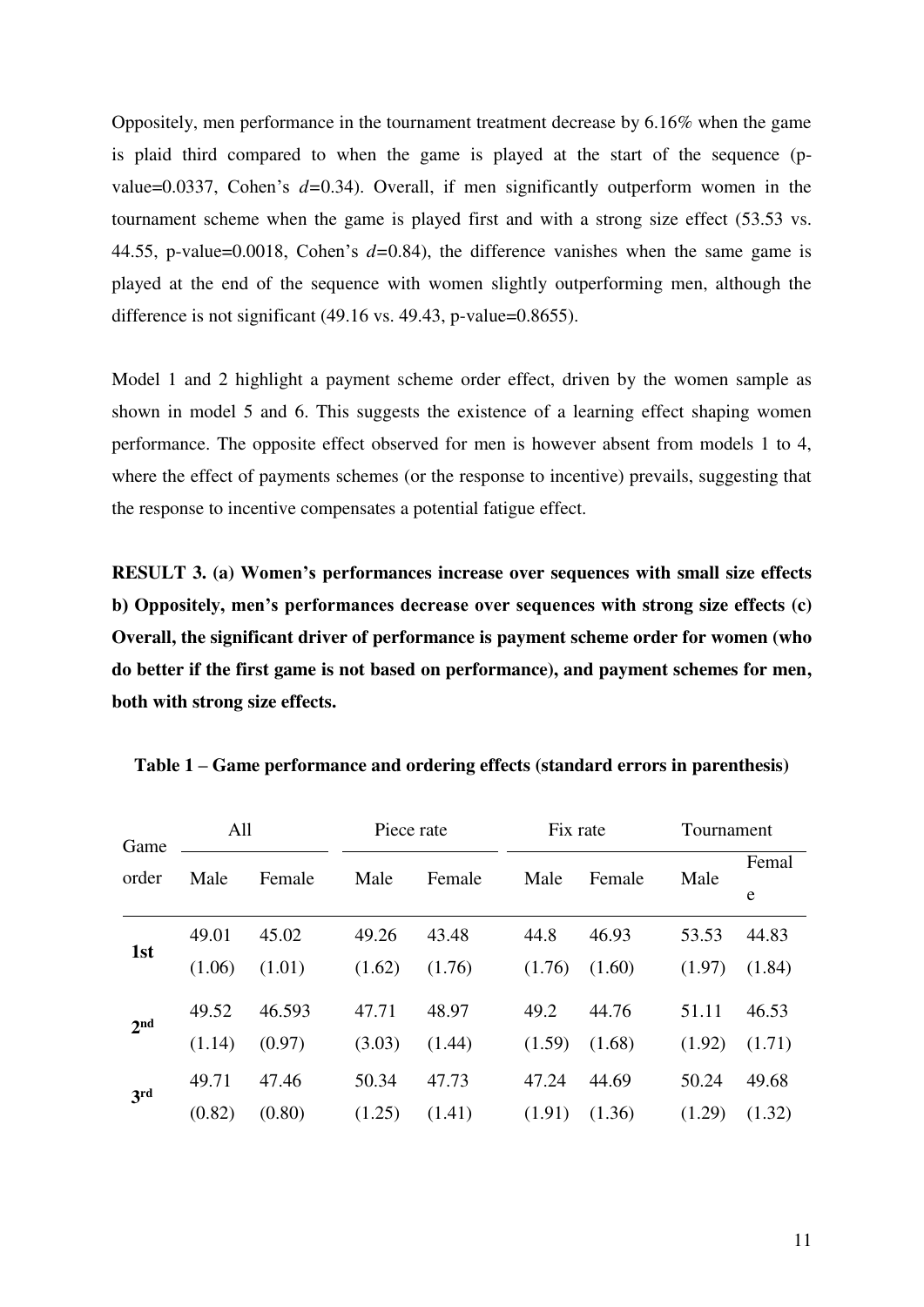Oppositely, men performance in the tournament treatment decrease by 6.16% when the game is plaid third compared to when the game is played at the start of the sequence (pvalue=0.0337, Cohen's *d=*0.34). Overall, if men significantly outperform women in the tournament scheme when the game is played first and with a strong size effect (53.53 vs. 44.55, p-value=0.0018, Cohen's *d=*0.84), the difference vanishes when the same game is played at the end of the sequence with women slightly outperforming men, although the difference is not significant (49.16 vs. 49.43, p-value=0.8655).

Model 1 and 2 highlight a payment scheme order effect, driven by the women sample as shown in model 5 and 6. This suggests the existence of a learning effect shaping women performance. The opposite effect observed for men is however absent from models 1 to 4, where the effect of payments schemes (or the response to incentive) prevails, suggesting that the response to incentive compensates a potential fatigue effect.

**RESULT 3. (a) Women's performances increase over sequences with small size effects b) Oppositely, men's performances decrease over sequences with strong size effects (c) Overall, the significant driver of performance is payment scheme order for women (who do better if the first game is not based on performance), and payment schemes for men, both with strong size effects.**

| Game<br>order   | All    |        | Piece rate |        | Fix rate |        | Tournament |            |
|-----------------|--------|--------|------------|--------|----------|--------|------------|------------|
|                 | Male   | Female | Male       | Female | Male     | Female | Male       | Femal<br>e |
|                 |        |        |            |        |          |        |            |            |
| 1st             | 49.01  | 45.02  | 49.26      | 43.48  | 44.8     | 46.93  | 53.53      | 44.83      |
|                 | (1.06) | (1.01) | (1.62)     | (1.76) | (1.76)   | (1.60) | (1.97)     | (1.84)     |
| 2 <sub>nd</sub> | 49.52  | 46.593 | 47.71      | 48.97  | 49.2     | 44.76  | 51.11      | 46.53      |
|                 | (1.14) | (0.97) | (3.03)     | (1.44) | (1.59)   | (1.68) | (1.92)     | (1.71)     |
| 3rd             | 49.71  | 47.46  | 50.34      | 47.73  | 47.24    | 44.69  | 50.24      | 49.68      |
|                 | (0.82) | (0.80) | (1.25)     | (1.41) | (1.91)   | (1.36) | (1.29)     | (1.32)     |

**Table 1 – Game performance and ordering effects (standard errors in parenthesis)**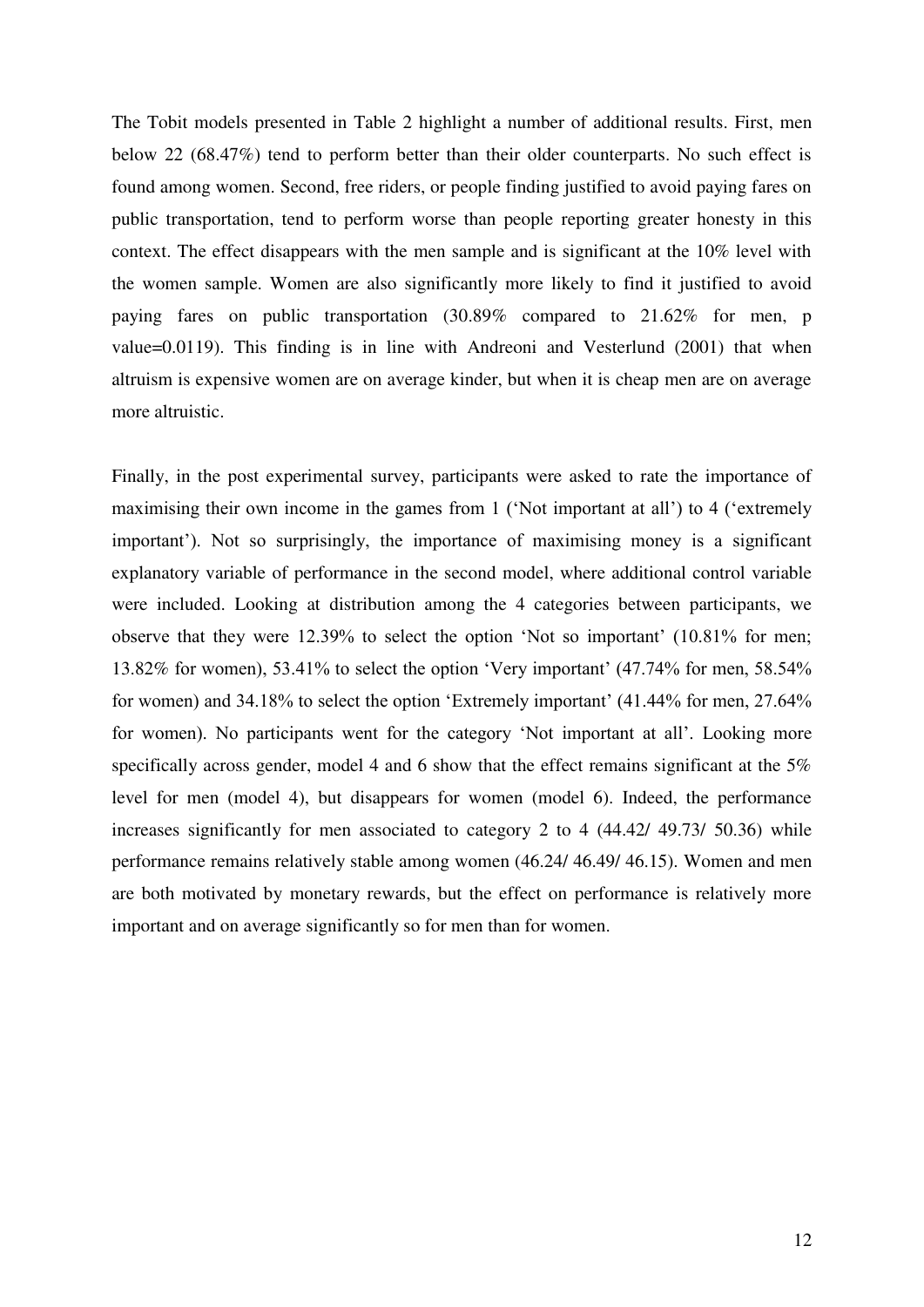The Tobit models presented in Table 2 highlight a number of additional results. First, men below 22 (68.47%) tend to perform better than their older counterparts. No such effect is found among women. Second, free riders, or people finding justified to avoid paying fares on public transportation, tend to perform worse than people reporting greater honesty in this context. The effect disappears with the men sample and is significant at the 10% level with the women sample. Women are also significantly more likely to find it justified to avoid paying fares on public transportation (30.89% compared to 21.62% for men, p value=0.0119). This finding is in line with Andreoni and Vesterlund (2001) that when altruism is expensive women are on average kinder, but when it is cheap men are on average more altruistic.

Finally, in the post experimental survey, participants were asked to rate the importance of maximising their own income in the games from 1 ('Not important at all') to 4 ('extremely important'). Not so surprisingly, the importance of maximising money is a significant explanatory variable of performance in the second model, where additional control variable were included. Looking at distribution among the 4 categories between participants, we observe that they were 12.39% to select the option 'Not so important' (10.81% for men; 13.82% for women), 53.41% to select the option 'Very important' (47.74% for men, 58.54% for women) and 34.18% to select the option 'Extremely important' (41.44% for men, 27.64% for women). No participants went for the category 'Not important at all'. Looking more specifically across gender, model 4 and 6 show that the effect remains significant at the 5% level for men (model 4), but disappears for women (model 6). Indeed, the performance increases significantly for men associated to category 2 to 4 (44.42/ 49.73/ 50.36) while performance remains relatively stable among women (46.24/ 46.49/ 46.15). Women and men are both motivated by monetary rewards, but the effect on performance is relatively more important and on average significantly so for men than for women.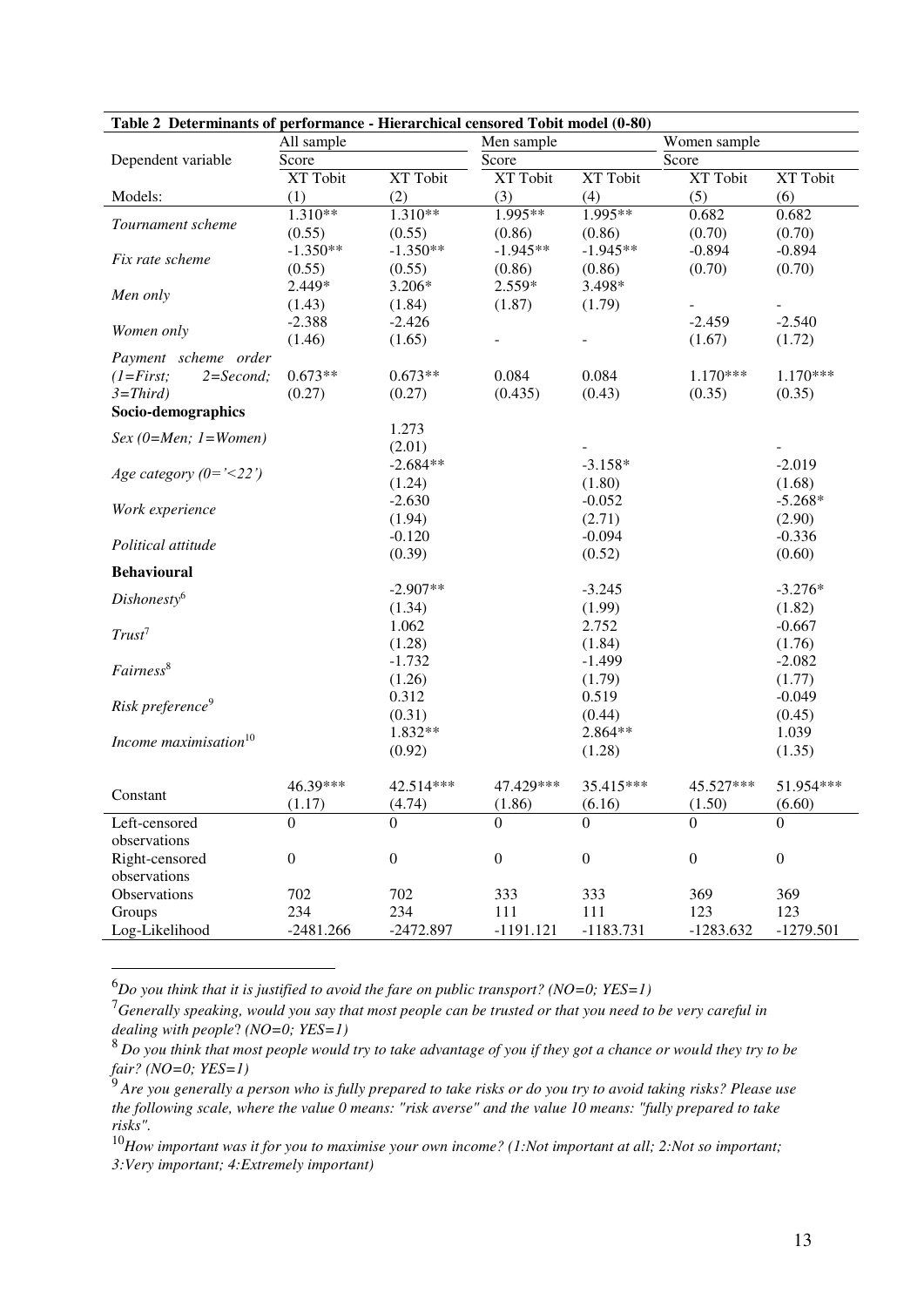| Table 2 Determinants of performance - Hierarchical censored Tobit model (0-80) |                  |                  |                  |                  |                  |                  |  |  |  |  |  |
|--------------------------------------------------------------------------------|------------------|------------------|------------------|------------------|------------------|------------------|--|--|--|--|--|
|                                                                                | All sample       |                  | Men sample       |                  | Women sample     |                  |  |  |  |  |  |
| Dependent variable                                                             | Score            |                  | Score            |                  | Score            |                  |  |  |  |  |  |
|                                                                                | XT Tobit         | XT Tobit         | XT Tobit         | XT Tobit         | XT Tobit         | XT Tobit         |  |  |  |  |  |
| Models:                                                                        | (1)              | (2)              | (3)              | (4)              | (5)              | (6)              |  |  |  |  |  |
| Tournament scheme                                                              | $1.310**$        | $1.310**$        | $1.995**$        | 1.995**          | 0.682            | 0.682            |  |  |  |  |  |
|                                                                                | (0.55)           | (0.55)           | (0.86)           | (0.86)           | (0.70)           | (0.70)           |  |  |  |  |  |
| Fix rate scheme                                                                | $-1.350**$       | $-1.350**$       | $-1.945**$       | $-1.945**$       | $-0.894$         | $-0.894$         |  |  |  |  |  |
|                                                                                | (0.55)           | (0.55)           | (0.86)           | (0.86)           | (0.70)           | (0.70)           |  |  |  |  |  |
| Men only                                                                       | 2.449*           | 3.206*           | 2.559*           | 3.498*           |                  |                  |  |  |  |  |  |
|                                                                                | (1.43)           | (1.84)           | (1.87)           | (1.79)           |                  |                  |  |  |  |  |  |
| Women only                                                                     | $-2.388$         | $-2.426$         |                  |                  | $-2.459$         | $-2.540$         |  |  |  |  |  |
|                                                                                | (1.46)           | (1.65)           |                  | $\blacksquare$   | (1.67)           | (1.72)           |  |  |  |  |  |
| Payment scheme order                                                           |                  |                  |                  |                  |                  |                  |  |  |  |  |  |
| $(1 = First;$<br>$2 = Second;$                                                 | $0.673**$        | $0.673**$        | 0.084            | 0.084            | $1.170***$       | $1.170***$       |  |  |  |  |  |
| $3=Third)$                                                                     | (0.27)           | (0.27)           | (0.435)          | (0.43)           | (0.35)           | (0.35)           |  |  |  |  |  |
| Socio-demographics                                                             |                  |                  |                  |                  |                  |                  |  |  |  |  |  |
| $Sex (0=Men; 1=Women)$                                                         |                  | 1.273            |                  |                  |                  |                  |  |  |  |  |  |
|                                                                                |                  | (2.01)           |                  |                  |                  |                  |  |  |  |  |  |
| Age category $(0 = \text{'}<22')$                                              |                  | $-2.684**$       |                  | $-3.158*$        |                  | $-2.019$         |  |  |  |  |  |
|                                                                                |                  | (1.24)           |                  | (1.80)           |                  | (1.68)           |  |  |  |  |  |
| Work experience                                                                |                  | $-2.630$         |                  | $-0.052$         |                  | $-5.268*$        |  |  |  |  |  |
|                                                                                |                  | (1.94)           |                  | (2.71)           |                  | (2.90)           |  |  |  |  |  |
| Political attitude                                                             |                  | $-0.120$         |                  | $-0.094$         |                  | $-0.336$         |  |  |  |  |  |
|                                                                                |                  | (0.39)           |                  | (0.52)           |                  | (0.60)           |  |  |  |  |  |
| <b>Behavioural</b>                                                             |                  |                  |                  |                  |                  |                  |  |  |  |  |  |
| Dishonesty <sup>6</sup>                                                        |                  | $-2.907**$       |                  | $-3.245$         |                  | $-3.276*$        |  |  |  |  |  |
|                                                                                |                  | (1.34)           |                  | (1.99)           |                  | (1.82)           |  |  |  |  |  |
| Trust <sup>7</sup>                                                             |                  | 1.062            |                  | 2.752            |                  | $-0.667$         |  |  |  |  |  |
|                                                                                |                  | (1.28)           |                  | (1.84)           |                  | (1.76)           |  |  |  |  |  |
| Fairness <sup>8</sup>                                                          |                  | $-1.732$         |                  | $-1.499$         |                  | $-2.082$         |  |  |  |  |  |
|                                                                                |                  | (1.26)           |                  | (1.79)           |                  | (1.77)           |  |  |  |  |  |
| Risk preference <sup>9</sup>                                                   |                  | 0.312            |                  | 0.519            |                  | $-0.049$         |  |  |  |  |  |
|                                                                                |                  | (0.31)           |                  | (0.44)           |                  | (0.45)           |  |  |  |  |  |
| Income maximisation <sup>10</sup>                                              |                  | 1.832**          |                  | 2.864**          |                  | 1.039            |  |  |  |  |  |
|                                                                                |                  | (0.92)           |                  | (1.28)           |                  | (1.35)           |  |  |  |  |  |
|                                                                                |                  |                  |                  |                  |                  |                  |  |  |  |  |  |
| Constant                                                                       | 46.39***         | 42.514***        | 47.429***        | 35.415***        | 45.527***        | 51.954***        |  |  |  |  |  |
|                                                                                | (1.17)           | (4.74)           | (1.86)           | (6.16)           | (1.50)           | (6.60)           |  |  |  |  |  |
| Left-censored                                                                  | $\boldsymbol{0}$ | $\boldsymbol{0}$ | $\boldsymbol{0}$ | $\boldsymbol{0}$ | $\boldsymbol{0}$ | $\boldsymbol{0}$ |  |  |  |  |  |
| observations                                                                   |                  |                  |                  |                  |                  |                  |  |  |  |  |  |
| Right-censored                                                                 | $\boldsymbol{0}$ | $\boldsymbol{0}$ | $\boldsymbol{0}$ | $\boldsymbol{0}$ | $\boldsymbol{0}$ | $\boldsymbol{0}$ |  |  |  |  |  |
| observations                                                                   |                  |                  |                  |                  |                  |                  |  |  |  |  |  |
| Observations                                                                   | 702              | 702              | 333              | 333              | 369              | 369              |  |  |  |  |  |
| Groups                                                                         | 234              | 234              | 111              | 111              | 123              | 123              |  |  |  |  |  |
| Log-Likelihood                                                                 | $-2481.266$      | $-2472.897$      | $-1191.121$      | $-1183.731$      | $-1283.632$      | $-1279.501$      |  |  |  |  |  |

 **Table 2 Determinants of performance - Hierarchical censored Tobit model (0-80)**

<sup>6</sup>*Do you think that it is justified to avoid the fare on public transport? (NO=0; YES=1)*

-

<sup>7</sup>*Generally speaking, would you say that most people can be trusted or that you need to be very careful in dealing with people*? *(NO=0; YES=1)*

<sup>10</sup>*How important was it for you to maximise your own income? (1:Not important at all; 2:Not so important; 3:Very important; 4:Extremely important)*

<sup>8</sup>*Do you think that most people would try to take advantage of you if they got a chance or would they try to be fair? (NO=0; YES=1)*

<sup>9</sup> *Are you generally a person who is fully prepared to take risks or do you try to avoid taking risks? Please use the following scale, where the value 0 means: "risk averse" and the value 10 means: "fully prepared to take risks".*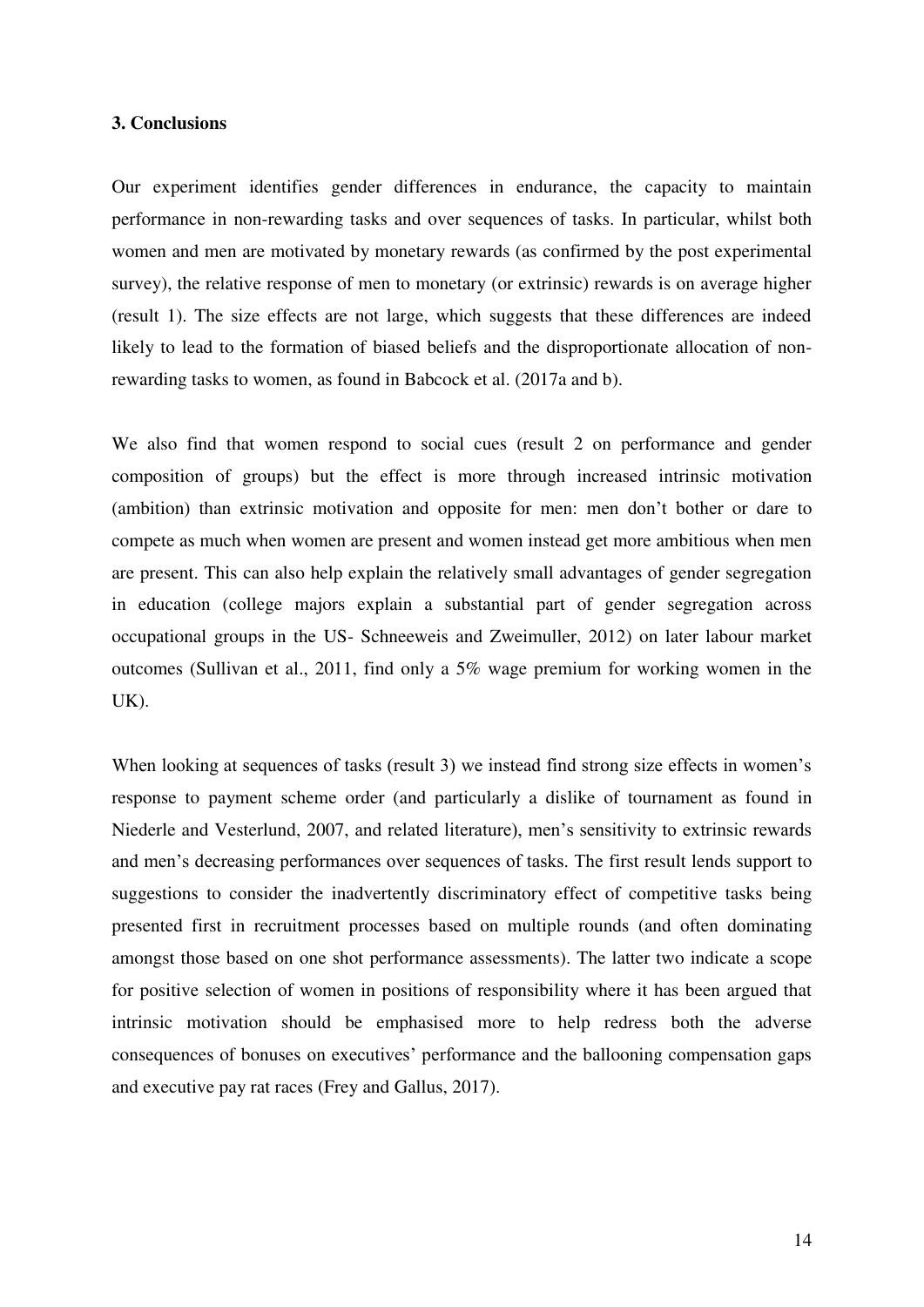#### **3. Conclusions**

Our experiment identifies gender differences in endurance, the capacity to maintain performance in non-rewarding tasks and over sequences of tasks. In particular, whilst both women and men are motivated by monetary rewards (as confirmed by the post experimental survey), the relative response of men to monetary (or extrinsic) rewards is on average higher (result 1). The size effects are not large, which suggests that these differences are indeed likely to lead to the formation of biased beliefs and the disproportionate allocation of nonrewarding tasks to women, as found in Babcock et al. (2017a and b).

We also find that women respond to social cues (result 2 on performance and gender composition of groups) but the effect is more through increased intrinsic motivation (ambition) than extrinsic motivation and opposite for men: men don't bother or dare to compete as much when women are present and women instead get more ambitious when men are present. This can also help explain the relatively small advantages of gender segregation in education (college majors explain a substantial part of gender segregation across occupational groups in the US- Schneeweis and Zweimuller, 2012) on later labour market outcomes (Sullivan et al., 2011, find only a 5% wage premium for working women in the UK).

When looking at sequences of tasks (result 3) we instead find strong size effects in women's response to payment scheme order (and particularly a dislike of tournament as found in Niederle and Vesterlund, 2007, and related literature), men's sensitivity to extrinsic rewards and men's decreasing performances over sequences of tasks. The first result lends support to suggestions to consider the inadvertently discriminatory effect of competitive tasks being presented first in recruitment processes based on multiple rounds (and often dominating amongst those based on one shot performance assessments). The latter two indicate a scope for positive selection of women in positions of responsibility where it has been argued that intrinsic motivation should be emphasised more to help redress both the adverse consequences of bonuses on executives' performance and the ballooning compensation gaps and executive pay rat races (Frey and Gallus, 2017).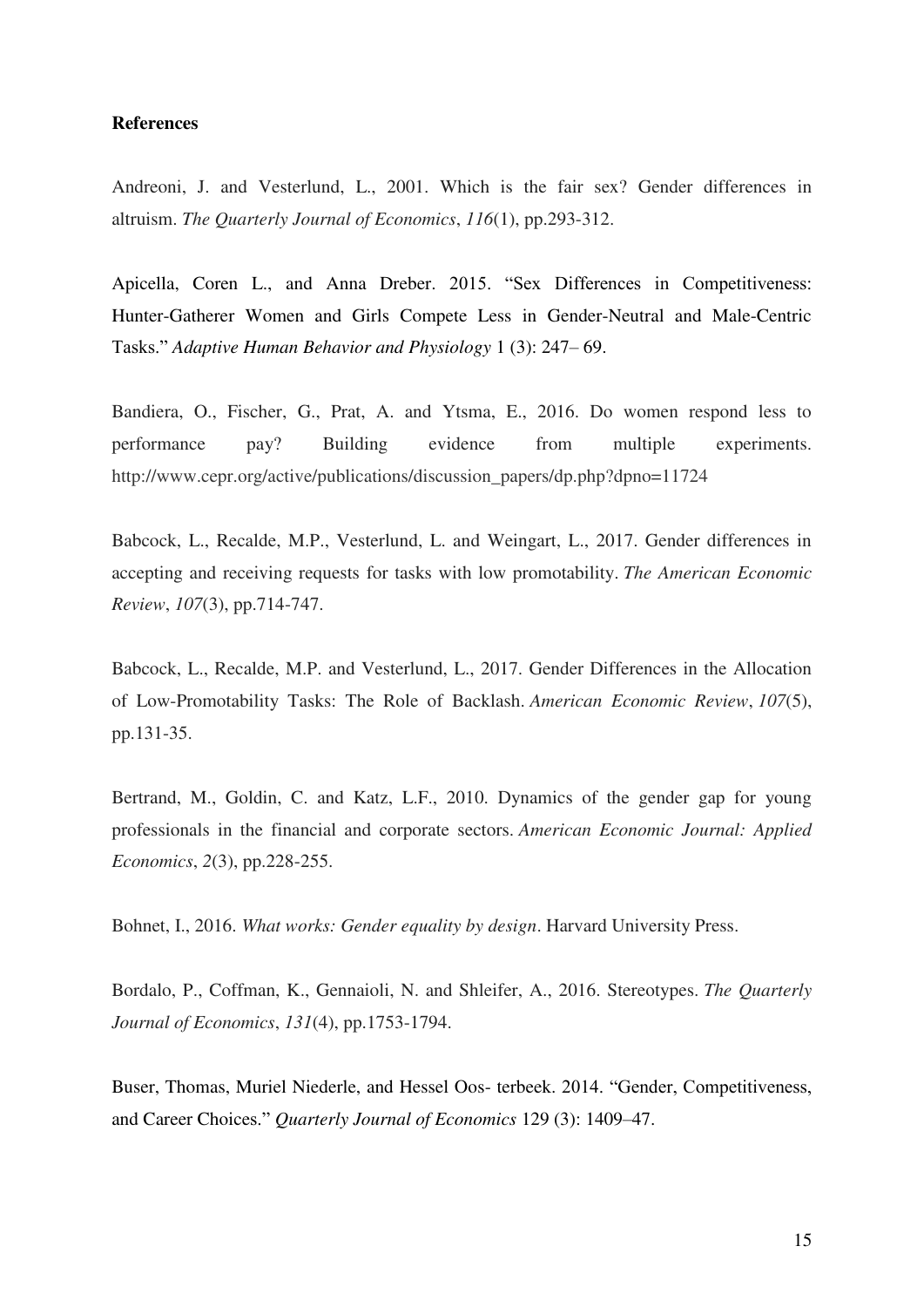#### **References**

Andreoni, J. and Vesterlund, L., 2001. Which is the fair sex? Gender differences in altruism. *The Quarterly Journal of Economics*, *116*(1), pp.293-312.

Apicella, Coren L., and Anna Dreber. 2015. "Sex Differences in Competitiveness: Hunter-Gatherer Women and Girls Compete Less in Gender-Neutral and Male-Centric Tasks." *Adaptive Human Behavior and Physiology* 1 (3): 247– 69.

Bandiera, O., Fischer, G., Prat, A. and Ytsma, E., 2016. Do women respond less to performance pay? Building evidence from multiple experiments. http://www.cepr.org/active/publications/discussion\_papers/dp.php?dpno=11724

Babcock, L., Recalde, M.P., Vesterlund, L. and Weingart, L., 2017. Gender differences in accepting and receiving requests for tasks with low promotability. *The American Economic Review*, *107*(3), pp.714-747.

Babcock, L., Recalde, M.P. and Vesterlund, L., 2017. Gender Differences in the Allocation of Low-Promotability Tasks: The Role of Backlash. *American Economic Review*, *107*(5), pp.131-35.

Bertrand, M., Goldin, C. and Katz, L.F., 2010. Dynamics of the gender gap for young professionals in the financial and corporate sectors. *American Economic Journal: Applied Economics*, *2*(3), pp.228-255.

Bohnet, I., 2016. *What works: Gender equality by design*. Harvard University Press.

Bordalo, P., Coffman, K., Gennaioli, N. and Shleifer, A., 2016. Stereotypes. *The Quarterly Journal of Economics*, *131*(4), pp.1753-1794.

Buser, Thomas, Muriel Niederle, and Hessel Oos- terbeek. 2014. "Gender, Competitiveness, and Career Choices." *Quarterly Journal of Economics* 129 (3): 1409–47.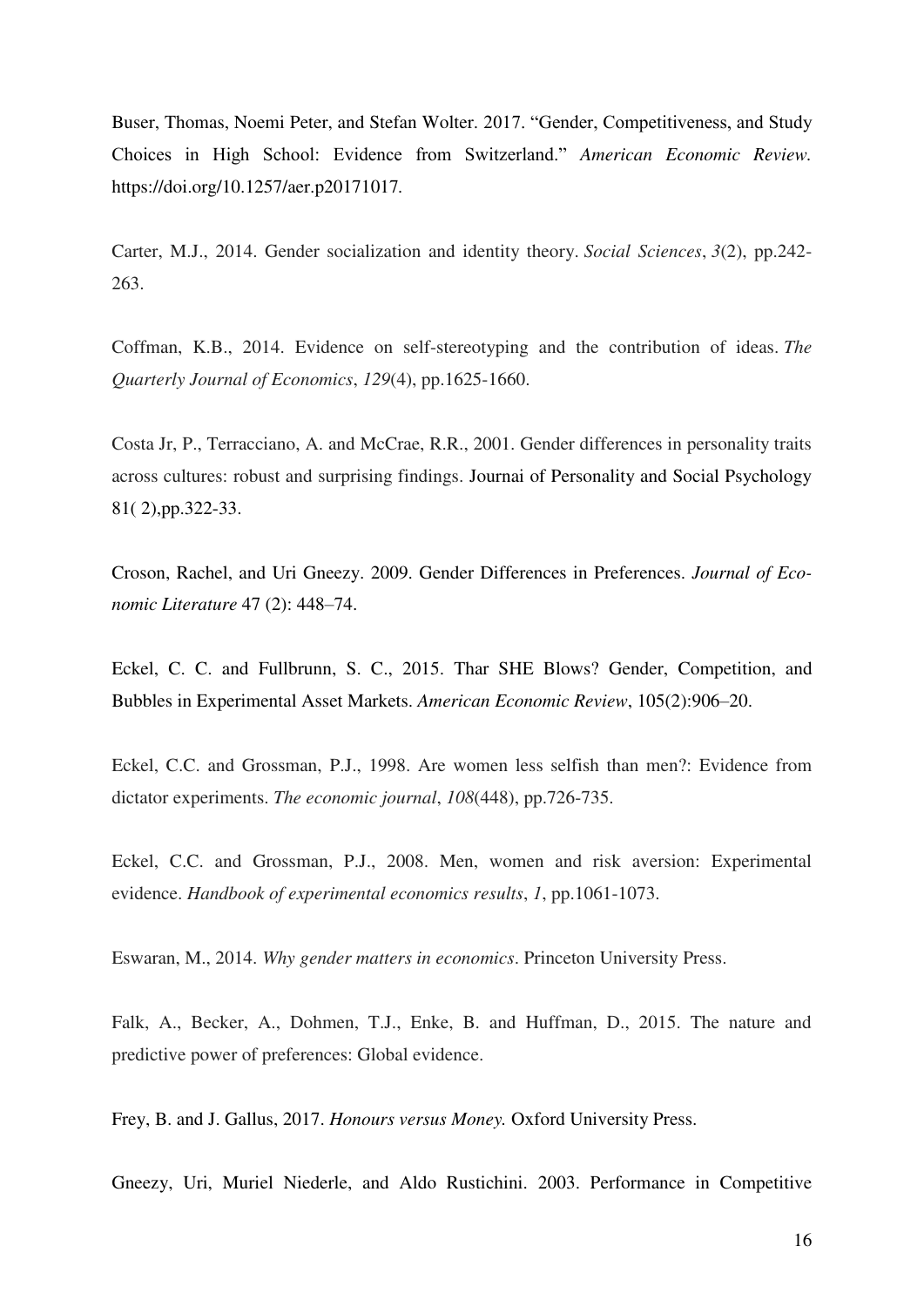Buser, Thomas, Noemi Peter, and Stefan Wolter. 2017. "Gender, Competitiveness, and Study Choices in High School: Evidence from Switzerland." *American Economic Review.*  https://doi.org/10.1257/aer.p20171017*.* 

Carter, M.J., 2014. Gender socialization and identity theory. *Social Sciences*, *3*(2), pp.242- 263.

Coffman, K.B., 2014. Evidence on self-stereotyping and the contribution of ideas. *The Quarterly Journal of Economics*, *129*(4), pp.1625-1660.

Costa Jr, P., Terracciano, A. and McCrae, R.R., 2001. Gender differences in personality traits across cultures: robust and surprising findings. Journai of Personality and Social Psychology 81( 2),pp.322-33.

Croson, Rachel, and Uri Gneezy. 2009. Gender Differences in Preferences. *Journal of Economic Literature* 47 (2): 448–74.

Eckel, C. C. and Fullbrunn, S. C., 2015. Thar SHE Blows? Gender, Competition, and Bubbles in Experimental Asset Markets. *American Economic Review*, 105(2):906–20.

Eckel, C.C. and Grossman, P.J., 1998. Are women less selfish than men?: Evidence from dictator experiments. *The economic journal*, *108*(448), pp.726-735.

Eckel, C.C. and Grossman, P.J., 2008. Men, women and risk aversion: Experimental evidence. *Handbook of experimental economics results*, *1*, pp.1061-1073.

Eswaran, M., 2014. *Why gender matters in economics*. Princeton University Press.

Falk, A., Becker, A., Dohmen, T.J., Enke, B. and Huffman, D., 2015. The nature and predictive power of preferences: Global evidence.

Frey, B. and J. Gallus, 2017. *Honours versus Money.* Oxford University Press.

Gneezy, Uri, Muriel Niederle, and Aldo Rustichini. 2003. Performance in Competitive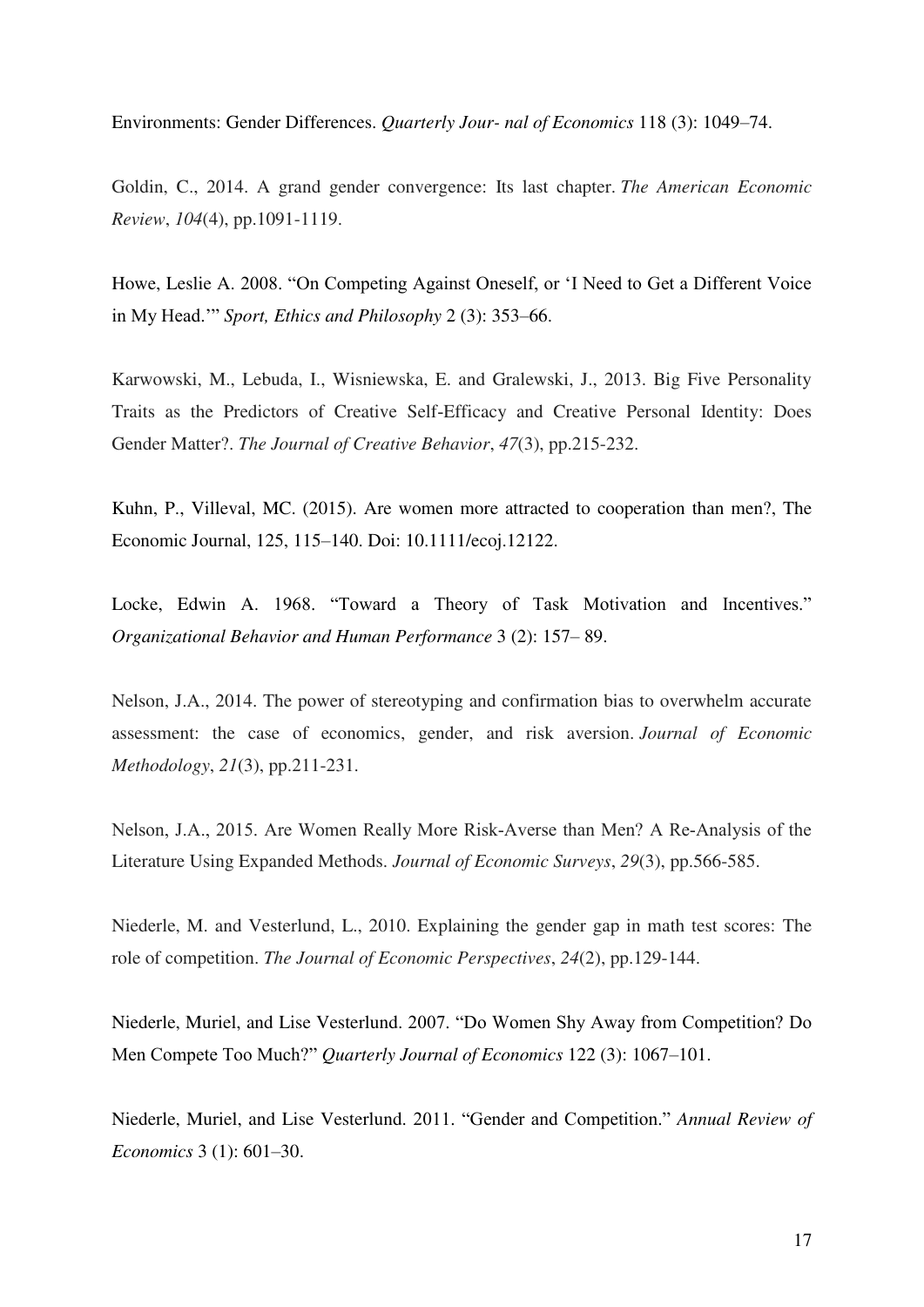Environments: Gender Differences. *Quarterly Jour- nal of Economics* 118 (3): 1049–74.

Goldin, C., 2014. A grand gender convergence: Its last chapter. *The American Economic Review*, *104*(4), pp.1091-1119.

Howe, Leslie A. 2008. "On Competing Against Oneself, or 'I Need to Get a Different Voice in My Head.'" *Sport, Ethics and Philosophy* 2 (3): 353–66.

Karwowski, M., Lebuda, I., Wisniewska, E. and Gralewski, J., 2013. Big Five Personality Traits as the Predictors of Creative Self‐Efficacy and Creative Personal Identity: Does Gender Matter?. *The Journal of Creative Behavior*, *47*(3), pp.215-232.

Kuhn, P., Villeval, MC. (2015). Are women more attracted to cooperation than men?, The Economic Journal, 125, 115–140. Doi: 10.1111/ecoj.12122.

Locke, Edwin A. 1968. "Toward a Theory of Task Motivation and Incentives." *Organizational Behavior and Human Performance* 3 (2): 157– 89.

Nelson, J.A., 2014. The power of stereotyping and confirmation bias to overwhelm accurate assessment: the case of economics, gender, and risk aversion. *Journal of Economic Methodology*, *21*(3), pp.211-231.

Nelson, J.A., 2015. Are Women Really More Risk‐Averse than Men? A Re‐Analysis of the Literature Using Expanded Methods. *Journal of Economic Surveys*, *29*(3), pp.566-585.

Niederle, M. and Vesterlund, L., 2010. Explaining the gender gap in math test scores: The role of competition. *The Journal of Economic Perspectives*, *24*(2), pp.129-144.

Niederle, Muriel, and Lise Vesterlund. 2007. "Do Women Shy Away from Competition? Do Men Compete Too Much?" *Quarterly Journal of Economics* 122 (3): 1067–101.

Niederle, Muriel, and Lise Vesterlund. 2011. "Gender and Competition." *Annual Review of Economics* 3 (1): 601–30.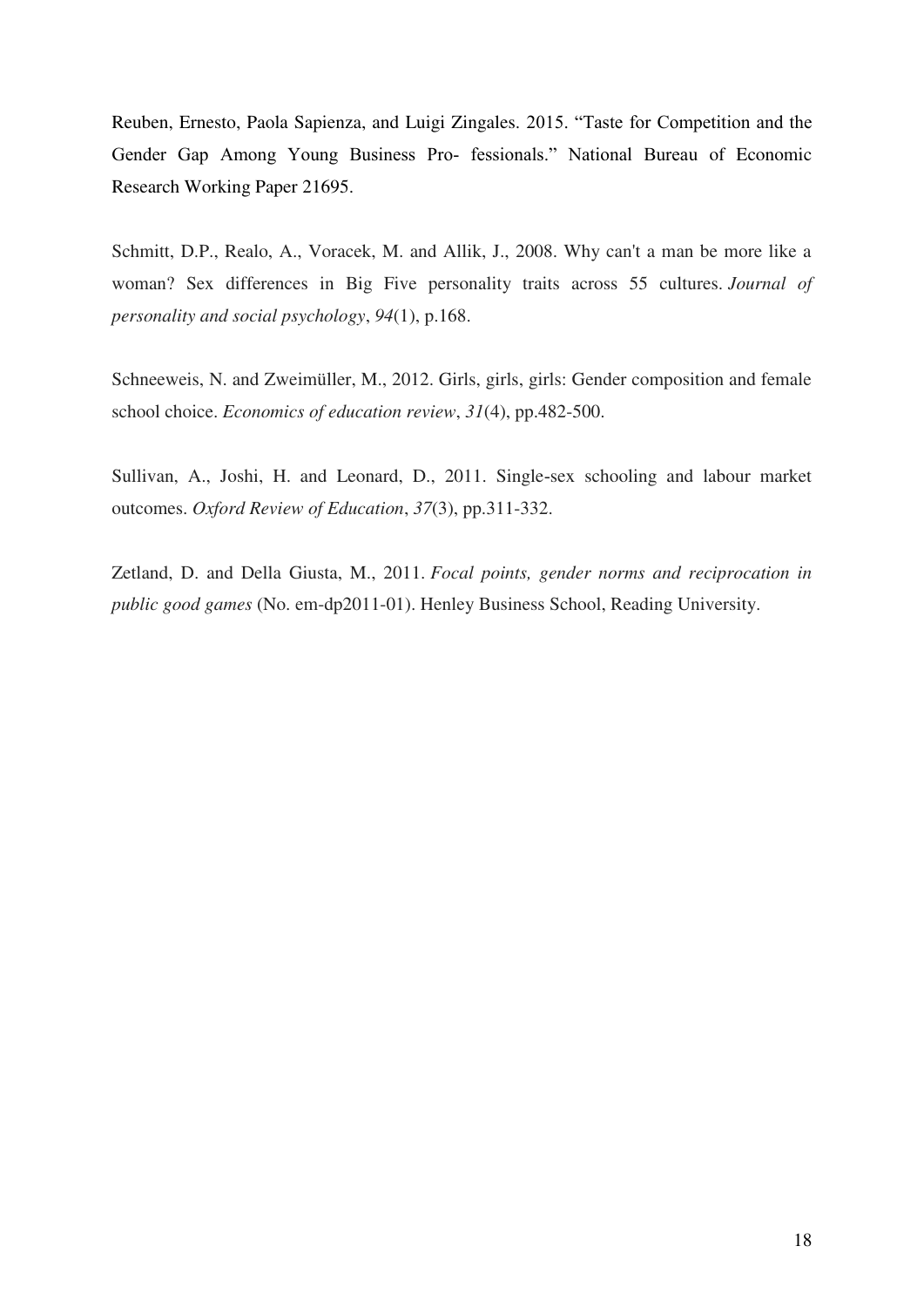Reuben, Ernesto, Paola Sapienza, and Luigi Zingales. 2015. "Taste for Competition and the Gender Gap Among Young Business Pro- fessionals." National Bureau of Economic Research Working Paper 21695.

Schmitt, D.P., Realo, A., Voracek, M. and Allik, J., 2008. Why can't a man be more like a woman? Sex differences in Big Five personality traits across 55 cultures. *Journal of personality and social psychology*, *94*(1), p.168.

Schneeweis, N. and Zweimüller, M., 2012. Girls, girls, girls: Gender composition and female school choice. *Economics of education review*, *31*(4), pp.482-500.

Sullivan, A., Joshi, H. and Leonard, D., 2011. Single‐sex schooling and labour market outcomes. *Oxford Review of Education*, *37*(3), pp.311-332.

Zetland, D. and Della Giusta, M., 2011. *Focal points, gender norms and reciprocation in public good games* (No. em-dp2011-01). Henley Business School, Reading University.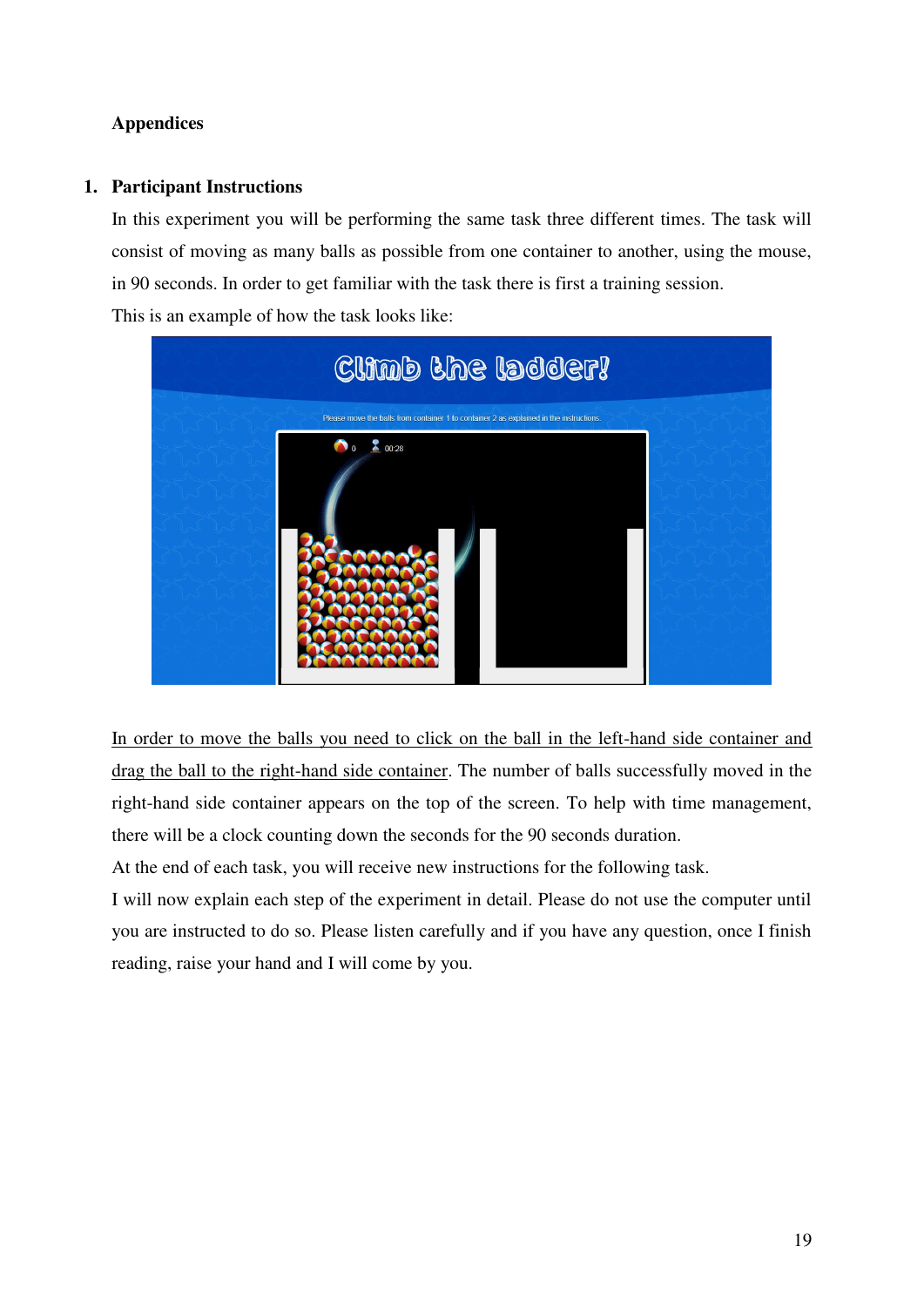# **Appendices**

## **1. Participant Instructions**

In this experiment you will be performing the same task three different times. The task will consist of moving as many balls as possible from one container to another, using the mouse, in 90 seconds. In order to get familiar with the task there is first a training session. This is an example of how the task looks like:



In order to move the balls you need to click on the ball in the left-hand side container and drag the ball to the right-hand side container. The number of balls successfully moved in the right-hand side container appears on the top of the screen. To help with time management, there will be a clock counting down the seconds for the 90 seconds duration.

At the end of each task, you will receive new instructions for the following task.

I will now explain each step of the experiment in detail. Please do not use the computer until you are instructed to do so. Please listen carefully and if you have any question, once I finish reading, raise your hand and I will come by you.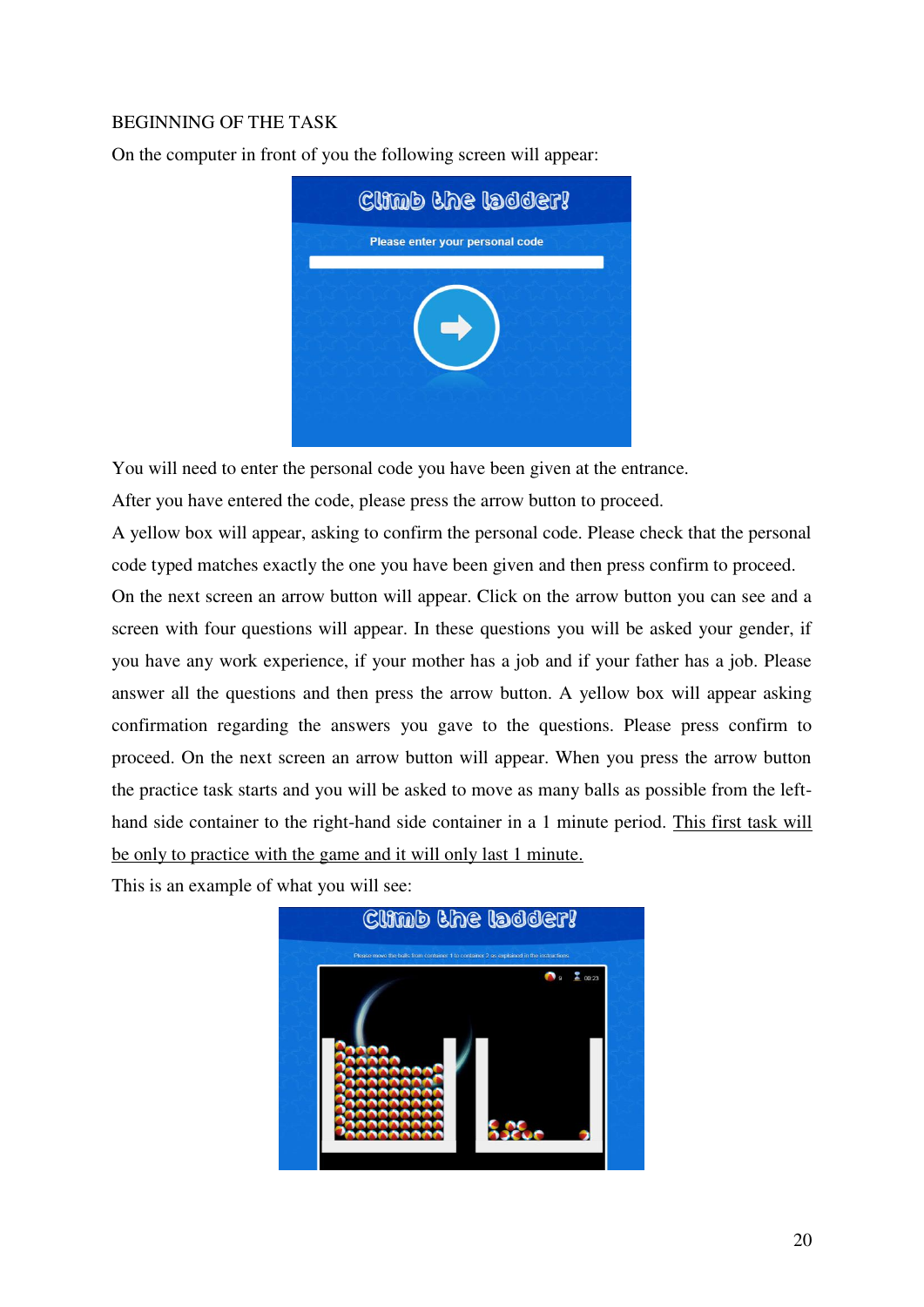# BEGINNING OF THE TASK

On the computer in front of you the following screen will appear:



You will need to enter the personal code you have been given at the entrance.

After you have entered the code, please press the arrow button to proceed.

A yellow box will appear, asking to confirm the personal code. Please check that the personal code typed matches exactly the one you have been given and then press confirm to proceed.

On the next screen an arrow button will appear. Click on the arrow button you can see and a screen with four questions will appear. In these questions you will be asked your gender, if you have any work experience, if your mother has a job and if your father has a job. Please answer all the questions and then press the arrow button. A yellow box will appear asking confirmation regarding the answers you gave to the questions. Please press confirm to proceed. On the next screen an arrow button will appear. When you press the arrow button the practice task starts and you will be asked to move as many balls as possible from the lefthand side container to the right-hand side container in a 1 minute period. This first task will be only to practice with the game and it will only last 1 minute.

This is an example of what you will see:

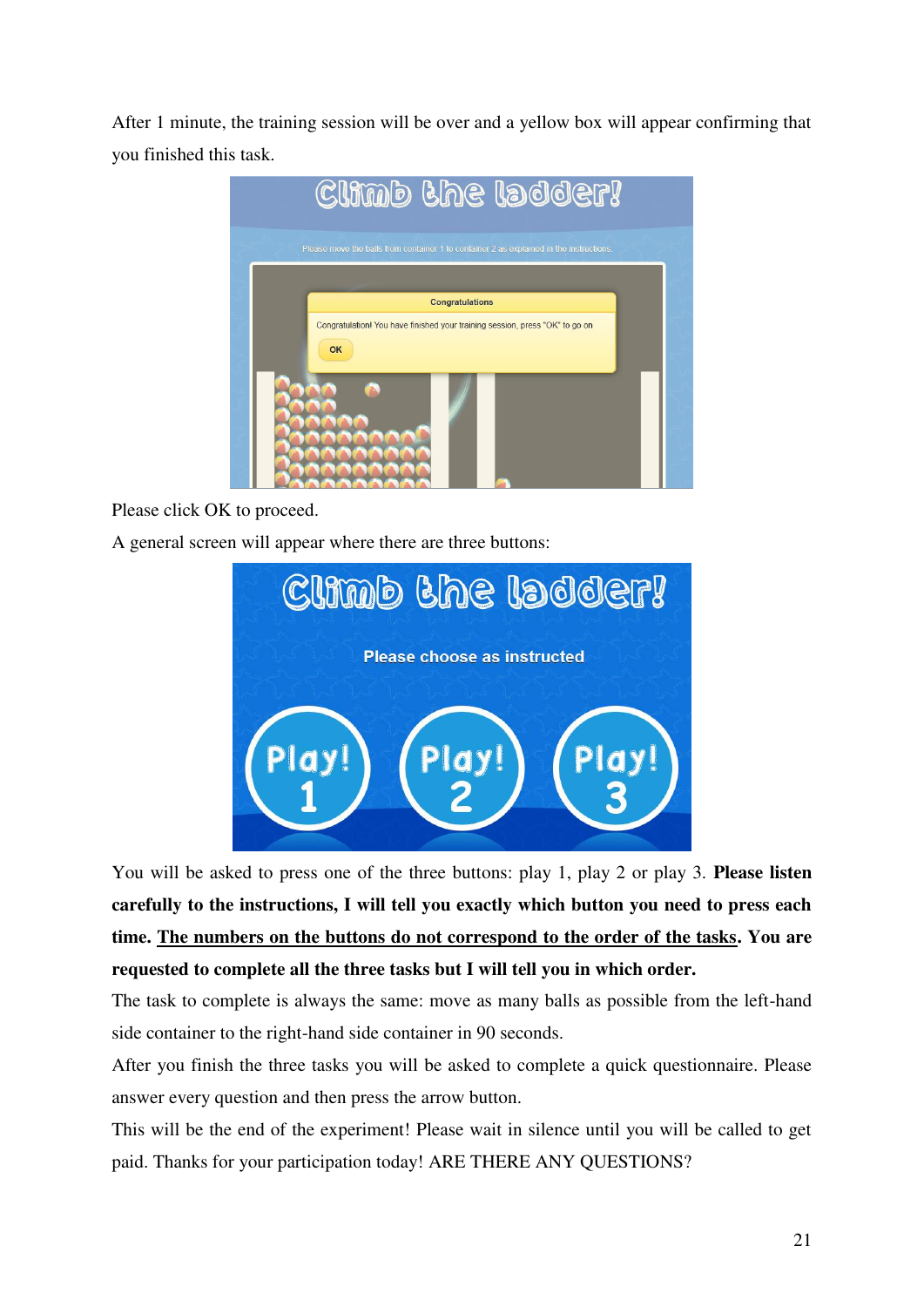After 1 minute, the training session will be over and a yellow box will appear confirming that you finished this task.



Please click OK to proceed.

A general screen will appear where there are three buttons:



You will be asked to press one of the three buttons: play 1, play 2 or play 3. **Please listen carefully to the instructions, I will tell you exactly which button you need to press each time. The numbers on the buttons do not correspond to the order of the tasks. You are requested to complete all the three tasks but I will tell you in which order.** 

The task to complete is always the same: move as many balls as possible from the left-hand side container to the right-hand side container in 90 seconds.

After you finish the three tasks you will be asked to complete a quick questionnaire. Please answer every question and then press the arrow button.

This will be the end of the experiment! Please wait in silence until you will be called to get paid. Thanks for your participation today! ARE THERE ANY QUESTIONS?